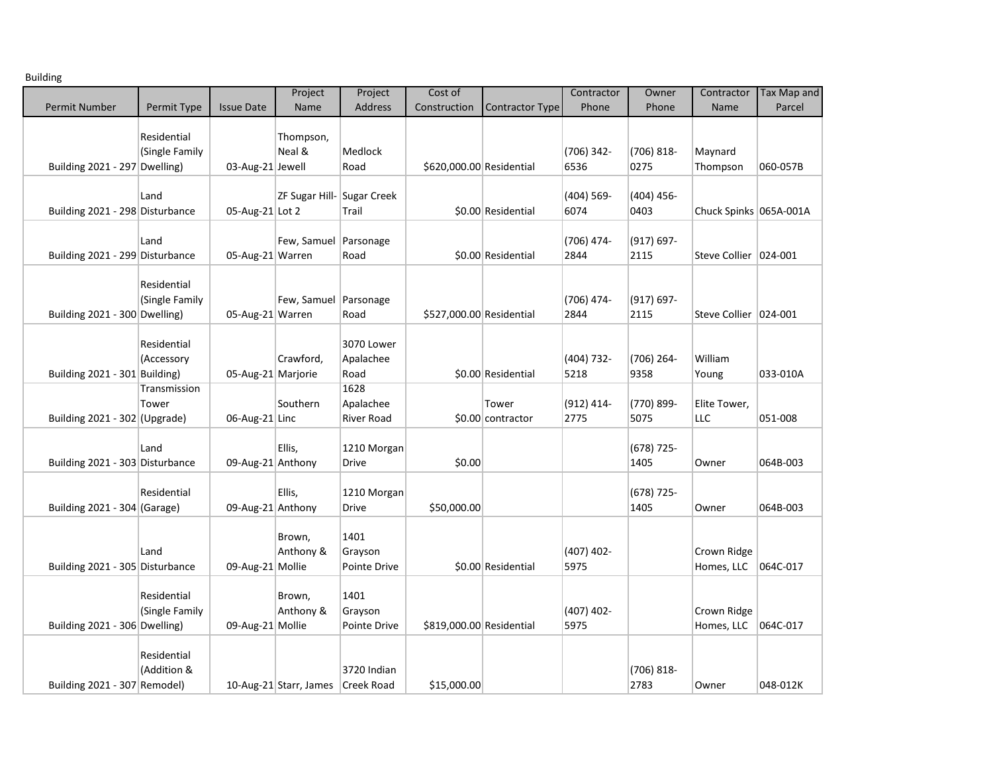| <b>Building</b> |  |
|-----------------|--|
|-----------------|--|

|                                 |                |                    | Project                             | Project      | Cost of                  |                        | Contractor         | Owner                 | Contractor              | <b>Tax Map and</b> |
|---------------------------------|----------------|--------------------|-------------------------------------|--------------|--------------------------|------------------------|--------------------|-----------------------|-------------------------|--------------------|
| <b>Permit Number</b>            | Permit Type    | <b>Issue Date</b>  | Name                                | Address      | Construction             | <b>Contractor Type</b> | Phone              | Phone                 | Name                    | Parcel             |
|                                 |                |                    |                                     |              |                          |                        |                    |                       |                         |                    |
|                                 | Residential    |                    | Thompson,                           |              |                          |                        |                    |                       |                         |                    |
|                                 | (Single Family |                    | Neal &                              | Medlock      |                          |                        | (706) 342-<br>6536 | $(706) 818 -$<br>0275 | Maynard                 |                    |
| Building 2021 - 297 Dwelling)   |                | 03-Aug-21 Jewell   |                                     | Road         | \$620,000.00 Residential |                        |                    |                       | Thompson                | 060-057B           |
|                                 | Land           |                    | ZF Sugar Hill- Sugar Creek          |              |                          |                        | (404) 569-         | (404) 456-            |                         |                    |
| Building 2021 - 298 Disturbance |                | 05-Aug-21 Lot 2    |                                     | Trail        |                          | \$0.00 Residential     | 6074               | 0403                  | Chuck Spinks 065A-001A  |                    |
|                                 |                |                    |                                     |              |                          |                        |                    |                       |                         |                    |
|                                 | Land           |                    | Few, Samuel   Parsonage             |              |                          |                        | (706) 474-         | (917) 697-            |                         |                    |
| Building 2021 - 299 Disturbance |                | 05-Aug-21 Warren   |                                     | Road         |                          | \$0.00 Residential     | 2844               | 2115                  | Steve Collier   024-001 |                    |
|                                 |                |                    |                                     |              |                          |                        |                    |                       |                         |                    |
|                                 | Residential    |                    |                                     |              |                          |                        |                    |                       |                         |                    |
| Building 2021 - 300 Dwelling)   | (Single Family | 05-Aug-21 Warren   | Few, Samuel   Parsonage             | Road         | \$527,000.00 Residential |                        | (706) 474-<br>2844 | (917) 697-<br>2115    | Steve Collier   024-001 |                    |
|                                 |                |                    |                                     |              |                          |                        |                    |                       |                         |                    |
|                                 | Residential    |                    |                                     | 3070 Lower   |                          |                        |                    |                       |                         |                    |
|                                 | (Accessory     |                    | Crawford,                           | Apalachee    |                          |                        | (404) 732-         | (706) 264-            | William                 |                    |
| Building 2021 - 301 Building)   |                | 05-Aug-21 Marjorie |                                     | Road         |                          | \$0.00 Residential     | 5218               | 9358                  | Young                   | 033-010A           |
|                                 | Transmission   |                    |                                     | 1628         |                          |                        |                    |                       |                         |                    |
|                                 | Tower          |                    | Southern                            | Apalachee    |                          | Tower                  | $(912) 414 -$      | (770) 899-            | Elite Tower,            |                    |
| Building $2021 - 302$ (Upgrade) |                | 06-Aug-21 Linc     |                                     | River Road   |                          | \$0.00 contractor      | 2775               | 5075                  | LLC                     | 051-008            |
|                                 | Land           |                    | Ellis,                              | 1210 Morgan  |                          |                        |                    | (678) 725-            |                         |                    |
| Building 2021 - 303 Disturbance |                | 09-Aug-21 Anthony  |                                     | Drive        | \$0.00                   |                        |                    | 1405                  | Owner                   | 064B-003           |
|                                 |                |                    |                                     |              |                          |                        |                    |                       |                         |                    |
|                                 | Residential    |                    | Ellis,                              | 1210 Morgan  |                          |                        |                    | (678) 725-            |                         |                    |
| Building 2021 - 304 (Garage)    |                | 09-Aug-21 Anthony  |                                     | Drive        | \$50,000.00              |                        |                    | 1405                  | Owner                   | 064B-003           |
|                                 |                |                    |                                     |              |                          |                        |                    |                       |                         |                    |
|                                 |                |                    | Brown,                              | 1401         |                          |                        |                    |                       |                         |                    |
|                                 | Land           |                    | Anthony &                           | Grayson      |                          |                        | $(407)$ 402-       |                       | Crown Ridge             |                    |
| Building 2021 - 305 Disturbance |                | 09-Aug-21 Mollie   |                                     | Pointe Drive |                          | \$0.00 Residential     | 5975               |                       | Homes, LLC              | 064C-017           |
|                                 | Residential    |                    | Brown,                              | 1401         |                          |                        |                    |                       |                         |                    |
|                                 | (Single Family |                    | Anthony &                           | Grayson      |                          |                        | $(407)$ 402-       |                       | Crown Ridge             |                    |
| Building 2021 - 306 Dwelling)   |                | 09-Aug-21 Mollie   |                                     | Pointe Drive | \$819,000.00 Residential |                        | 5975               |                       | Homes, LLC              | 064C-017           |
|                                 |                |                    |                                     |              |                          |                        |                    |                       |                         |                    |
|                                 | Residential    |                    |                                     |              |                          |                        |                    |                       |                         |                    |
|                                 | (Addition &    |                    |                                     | 3720 Indian  |                          |                        |                    | $(706) 818 -$         |                         |                    |
| Building 2021 - 307 Remodel)    |                |                    | 10-Aug-21 Starr, James   Creek Road |              | \$15,000.00              |                        |                    | 2783                  | Owner                   | 048-012K           |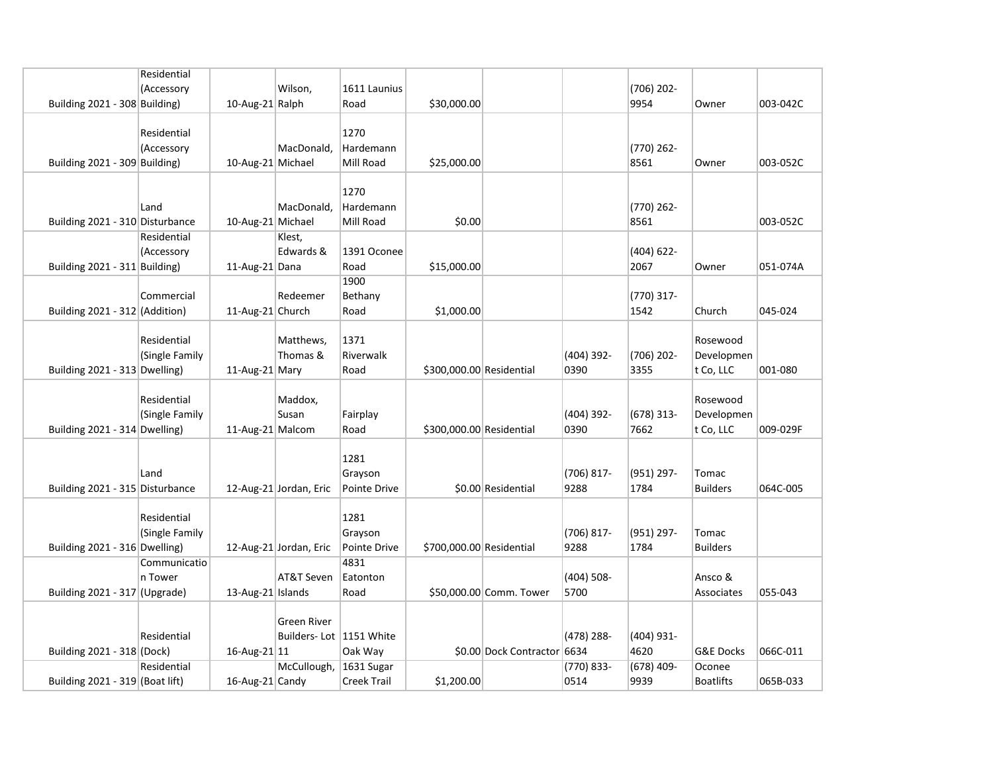|                                 | Residential    |                   |                           |                    |                          |                             |               |              |                      |          |
|---------------------------------|----------------|-------------------|---------------------------|--------------------|--------------------------|-----------------------------|---------------|--------------|----------------------|----------|
|                                 | (Accessory     |                   | Wilson,                   | 1611 Launius       |                          |                             |               | (706) 202-   |                      |          |
| Building 2021 - 308 Building)   |                | 10-Aug-21 Ralph   |                           | Road               | \$30,000.00              |                             |               | 9954         | Owner                | 003-042C |
|                                 |                |                   |                           |                    |                          |                             |               |              |                      |          |
|                                 | Residential    |                   |                           | 1270               |                          |                             |               |              |                      |          |
|                                 | (Accessory     |                   | MacDonald,                | Hardemann          |                          |                             |               | (770) 262-   |                      |          |
| Building 2021 - 309 Building)   |                | 10-Aug-21 Michael |                           | Mill Road          | \$25,000.00              |                             |               | 8561         | Owner                | 003-052C |
|                                 |                |                   |                           |                    |                          |                             |               |              |                      |          |
|                                 |                |                   |                           | 1270               |                          |                             |               |              |                      |          |
|                                 | Land           |                   | MacDonald,                | Hardemann          |                          |                             |               | (770) 262-   |                      |          |
| Building 2021 - 310 Disturbance |                | 10-Aug-21 Michael |                           | Mill Road          | \$0.00                   |                             |               | 8561         |                      | 003-052C |
|                                 | Residential    |                   | Klest,                    |                    |                          |                             |               |              |                      |          |
|                                 |                |                   | Edwards &                 | 1391 Oconee        |                          |                             |               |              |                      |          |
|                                 | (Accessory     |                   |                           |                    |                          |                             |               | $(404)$ 622- |                      |          |
| Building 2021 - 311 Building)   |                | 11-Aug-21 Dana    |                           | Road               | \$15,000.00              |                             |               | 2067         | Owner                | 051-074A |
|                                 |                |                   |                           | 1900               |                          |                             |               |              |                      |          |
|                                 | Commercial     |                   | Redeemer                  | Bethany            |                          |                             |               | (770) 317-   |                      |          |
| Building 2021 - 312 (Addition)  |                | 11-Aug-21 Church  |                           | Road               | \$1,000.00               |                             |               | 1542         | Church               | 045-024  |
|                                 |                |                   |                           |                    |                          |                             |               |              |                      |          |
|                                 | Residential    |                   | Matthews,                 | 1371               |                          |                             |               |              | Rosewood             |          |
|                                 | (Single Family |                   | Thomas &                  | Riverwalk          |                          |                             | (404) 392-    | (706) 202-   | Developmen           |          |
| Building 2021 - 313 Dwelling)   |                | 11-Aug-21 Mary    |                           | Road               | \$300,000.00 Residential |                             | 0390          | 3355         | t Co, LLC            | 001-080  |
|                                 |                |                   |                           |                    |                          |                             |               |              |                      |          |
|                                 | Residential    |                   | Maddox,                   |                    |                          |                             |               |              | Rosewood             |          |
|                                 | (Single Family |                   | Susan                     | Fairplay           |                          |                             | (404) 392-    | $(678)$ 313- | Developmen           |          |
| Building 2021 - 314 Dwelling)   |                | 11-Aug-21 Malcom  |                           | Road               | \$300,000.00 Residential |                             | 0390          | 7662         | t Co, LLC            | 009-029F |
|                                 |                |                   |                           |                    |                          |                             |               |              |                      |          |
|                                 |                |                   |                           | 1281               |                          |                             |               |              |                      |          |
|                                 | Land           |                   |                           | Grayson            |                          |                             | (706) 817-    | (951) 297-   | Tomac                |          |
| Building 2021 - 315 Disturbance |                |                   | 12-Aug-21 Jordan, Eric    | Pointe Drive       |                          | \$0.00 Residential          | 9288          | 1784         | <b>Builders</b>      | 064C-005 |
|                                 |                |                   |                           |                    |                          |                             |               |              |                      |          |
|                                 | Residential    |                   |                           | 1281               |                          |                             |               |              |                      |          |
|                                 | (Single Family |                   |                           | Grayson            |                          |                             | (706) 817-    | (951) 297-   | Tomac                |          |
| Building 2021 - 316 Dwelling)   |                |                   | 12-Aug-21 Jordan, Eric    | Pointe Drive       | \$700,000.00 Residential |                             | 9288          | 1784         | <b>Builders</b>      |          |
|                                 | Communicatio   |                   |                           | 4831               |                          |                             |               |              |                      |          |
|                                 | n Tower        |                   | AT&T Seven                | Eatonton           |                          |                             | $(404) 508 -$ |              | Ansco &              |          |
| Building 2021 - 317 (Upgrade)   |                | 13-Aug-21 Islands |                           | Road               |                          | \$50,000.00 Comm. Tower     | 5700          |              | Associates           | 055-043  |
|                                 |                |                   |                           |                    |                          |                             |               |              |                      |          |
|                                 |                |                   | <b>Green River</b>        |                    |                          |                             |               |              |                      |          |
|                                 | Residential    |                   |                           |                    |                          |                             |               |              |                      |          |
|                                 |                |                   | Builders-Lot   1151 White |                    |                          |                             | (478) 288-    | $(404)$ 931- |                      |          |
| Building 2021 - 318 (Dock)      |                | 16-Aug-21 $ 11$   |                           | Oak Way            |                          | \$0.00 Dock Contractor 6634 |               | 4620         | <b>G&amp;E Docks</b> | 066C-011 |
|                                 | Residential    |                   | McCullough,               | 1631 Sugar         |                          |                             | $(770) 833 -$ | $(678)$ 409- | Oconee               |          |
| Building 2021 - 319 (Boat lift) |                | 16-Aug-21 Candy   |                           | <b>Creek Trail</b> | \$1,200.00               |                             | 0514          | 9939         | <b>Boatlifts</b>     | 065B-033 |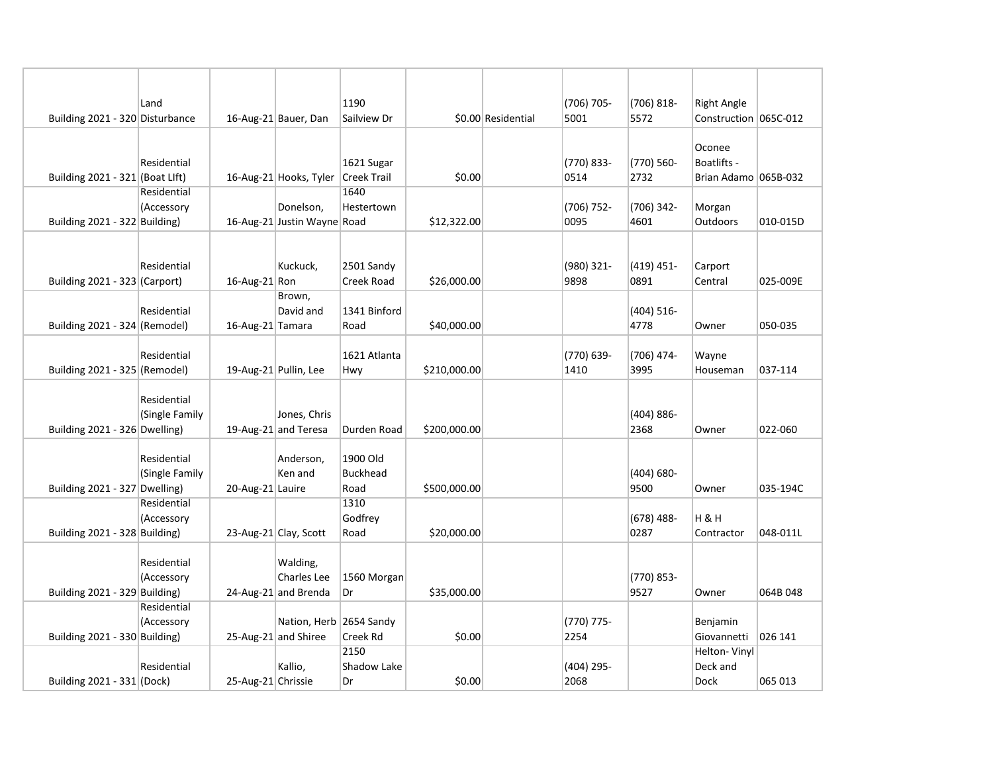|                                 | Land           |                       |                                      | 1190               |              |                    | (706) 705- | (706) 818-         | <b>Right Angle</b>    |          |
|---------------------------------|----------------|-----------------------|--------------------------------------|--------------------|--------------|--------------------|------------|--------------------|-----------------------|----------|
| Building 2021 - 320 Disturbance |                |                       | 16-Aug-21 Bauer, Dan                 | Sailview Dr        |              | \$0.00 Residential | 5001       | 5572               | Construction 065C-012 |          |
|                                 |                |                       |                                      |                    |              |                    |            |                    |                       |          |
|                                 |                |                       |                                      |                    |              |                    |            |                    | Oconee                |          |
|                                 | Residential    |                       |                                      | 1621 Sugar         |              |                    | (770) 833- | (770) 560-         | Boatlifts -           |          |
| Building 2021 - 321 (Boat Llft) |                |                       | 16-Aug-21 Hooks, Tyler Creek Trail   |                    | \$0.00       |                    | 0514       | 2732               | Brian Adamo 065B-032  |          |
|                                 | Residential    |                       |                                      | 1640               |              |                    |            |                    |                       |          |
|                                 | (Accessory     |                       | Donelson,                            | Hestertown         |              |                    | (706) 752- | (706) 342-         | Morgan                |          |
| Building 2021 - 322 Building)   |                |                       | 16-Aug-21 Justin Wayne Road          |                    | \$12,322.00  |                    | 0095       | 4601               | Outdoors              | 010-015D |
|                                 |                |                       |                                      |                    |              |                    |            |                    |                       |          |
|                                 | Residential    |                       | Kuckuck,                             | 2501 Sandy         |              |                    | (980) 321- | $(419)$ 451-       | Carport               |          |
| Building 2021 - 323 (Carport)   |                | 16-Aug-21 Ron         |                                      | Creek Road         | \$26,000.00  |                    | 9898       | 0891               | Central               | 025-009E |
|                                 |                |                       | Brown,                               |                    |              |                    |            |                    |                       |          |
|                                 | Residential    |                       | David and                            | 1341 Binford       |              |                    |            | $(404) 516 -$      |                       |          |
| Building 2021 - 324 (Remodel)   |                | 16-Aug-21 Tamara      |                                      | Road               | \$40,000.00  |                    |            | 4778               | Owner                 | 050-035  |
|                                 |                |                       |                                      |                    |              |                    |            |                    |                       |          |
|                                 | Residential    |                       |                                      | 1621 Atlanta       |              |                    | (770) 639- | (706) 474-         | Wayne                 |          |
| Building 2021 - 325 (Remodel)   |                | 19-Aug-21 Pullin, Lee |                                      | Hwy                | \$210,000.00 |                    | 1410       | 3995               | Houseman              | 037-114  |
|                                 |                |                       |                                      |                    |              |                    |            |                    |                       |          |
|                                 | Residential    |                       |                                      |                    |              |                    |            |                    |                       |          |
| Building 2021 - 326 Dwelling)   | (Single Family |                       | Jones, Chris<br>19-Aug-21 and Teresa | Durden Road        | \$200,000.00 |                    |            | (404) 886-<br>2368 | Owner                 | 022-060  |
|                                 |                |                       |                                      |                    |              |                    |            |                    |                       |          |
|                                 | Residential    |                       | Anderson,                            | 1900 Old           |              |                    |            |                    |                       |          |
|                                 | (Single Family |                       | Ken and                              | <b>Buckhead</b>    |              |                    |            | $(404) 680 -$      |                       |          |
| Building 2021 - 327 Dwelling)   |                | 20-Aug-21 Lauire      |                                      | Road               | \$500,000.00 |                    |            | 9500               | Owner                 | 035-194C |
|                                 | Residential    |                       |                                      | 1310               |              |                    |            |                    |                       |          |
|                                 | (Accessory     |                       |                                      | Godfrey            |              |                    |            | $(678)$ 488-       | H&H                   |          |
| Building 2021 - 328 Building)   |                |                       | 23-Aug-21 Clay, Scott                | Road               | \$20,000.00  |                    |            | 0287               | Contractor            | 048-011L |
|                                 |                |                       |                                      |                    |              |                    |            |                    |                       |          |
|                                 | Residential    |                       | Walding,                             |                    |              |                    |            |                    |                       |          |
|                                 | (Accessory     |                       | Charles Lee                          | 1560 Morgan        |              |                    |            | (770) 853-         |                       |          |
| Building 2021 - 329 Building)   | Residential    |                       | 24-Aug-21 and Brenda                 | Dr                 | \$35,000.00  |                    |            | 9527               | Owner                 | 064B 048 |
|                                 | (Accessory     |                       | Nation, Herb 2654 Sandy              |                    |              |                    | (770) 775- |                    | Benjamin              |          |
| Building 2021 - 330 Building)   |                |                       | 25-Aug-21 and Shiree                 | Creek Rd           | \$0.00       |                    | 2254       |                    | Giovannetti           | 026 141  |
|                                 |                |                       |                                      | 2150               |              |                    |            |                    | Helton-Vinyl          |          |
|                                 | Residential    |                       | Kallio,                              | <b>Shadow Lake</b> |              |                    | (404) 295- |                    | Deck and              |          |
| Building 2021 - 331 (Dock)      |                | 25-Aug-21 Chrissie    |                                      | Dr                 | \$0.00       |                    | 2068       |                    | Dock                  | 065 013  |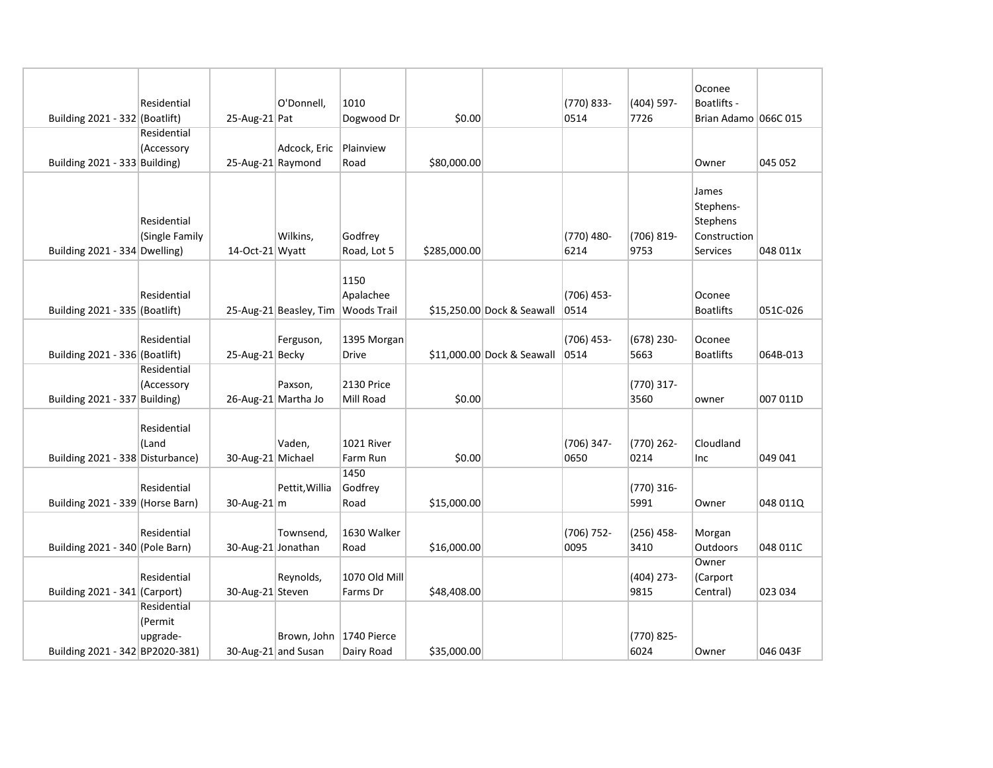|                                  |                               |                     |                                      |                        |              |                            |                      |                      | Oconee                                                     |          |
|----------------------------------|-------------------------------|---------------------|--------------------------------------|------------------------|--------------|----------------------------|----------------------|----------------------|------------------------------------------------------------|----------|
|                                  | Residential                   |                     | O'Donnell,                           | 1010                   |              |                            | (770) 833-           | (404) 597-           | Boatlifts -                                                |          |
| Building 2021 - 332 (Boatlift)   |                               | 25-Aug-21 Pat       |                                      | Dogwood Dr             | \$0.00       |                            | 0514                 | 7726                 | Brian Adamo 066C 015                                       |          |
|                                  | Residential                   |                     |                                      |                        |              |                            |                      |                      |                                                            |          |
|                                  | (Accessory                    |                     | Adcock, Eric                         | Plainview              |              |                            |                      |                      |                                                            |          |
| Building 2021 - 333 Building)    |                               | 25-Aug-21 Raymond   |                                      | Road                   | \$80,000.00  |                            |                      |                      | Owner                                                      | 045 052  |
| Building 2021 - 334 Dwelling)    | Residential<br>(Single Family | 14-Oct-21 Wyatt     | Wilkins,                             | Godfrey<br>Road, Lot 5 | \$285,000.00 |                            | (770) 480-<br>6214   | (706) 819-<br>9753   | James<br>Stephens-<br>Stephens<br>Construction<br>Services | 048 011x |
| Building 2021 - 335 (Boatlift)   | Residential                   |                     | 25-Aug-21 Beasley, Tim   Woods Trail | 1150<br>Apalachee      |              | \$15,250.00 Dock & Seawall | $(706)$ 453-<br>0514 |                      | Oconee<br><b>Boatlifts</b>                                 | 051C-026 |
|                                  |                               |                     |                                      |                        |              |                            |                      |                      |                                                            |          |
|                                  | Residential                   |                     | Ferguson,                            | 1395 Morgan            |              |                            | $(706)$ 453-         | $(678)$ 230-         | Oconee                                                     |          |
| Building 2021 - 336 (Boatlift)   |                               | 25-Aug-21 Becky     |                                      | <b>Drive</b>           |              | \$11,000.00 Dock & Seawall | 0514                 | 5663                 | <b>Boatlifts</b>                                           | 064B-013 |
|                                  | Residential                   |                     |                                      |                        |              |                            |                      |                      |                                                            |          |
|                                  | (Accessory                    |                     | Paxson,                              | <b>2130 Price</b>      |              |                            |                      | (770) 317-           |                                                            |          |
| Building 2021 - 337 Building)    |                               | 26-Aug-21 Martha Jo |                                      | Mill Road              | \$0.00       |                            |                      | 3560                 | owner                                                      | 007 011D |
| Building 2021 - 338 Disturbance) | Residential<br>(Land          | 30-Aug-21 Michael   | Vaden,                               | 1021 River<br>Farm Run | \$0.00       |                            | (706) 347-<br>0650   | (770) 262-<br>0214   | Cloudland<br>Inc                                           | 049 041  |
|                                  |                               |                     |                                      | 1450                   |              |                            |                      |                      |                                                            |          |
|                                  | Residential                   |                     | Pettit, Willia                       | Godfrey                |              |                            |                      | (770) 316-           |                                                            |          |
| Building 2021 - 339 (Horse Barn) |                               | 30-Aug-21 $ m$      |                                      | Road                   | \$15,000.00  |                            |                      | 5991                 | Owner                                                      | 048 011Q |
| Building 2021 - 340 (Pole Barn)  | Residential                   | 30-Aug-21 Jonathan  | Townsend,                            | 1630 Walker<br>Road    | \$16,000.00  |                            | (706) 752-<br>0095   | $(256)$ 458-<br>3410 | Morgan<br>Outdoors                                         | 048 011C |
|                                  |                               |                     |                                      |                        |              |                            |                      |                      | Owner                                                      |          |
|                                  | Residential                   |                     | Reynolds,                            | 1070 Old Mill          |              |                            |                      | $(404)$ 273-         | (Carport                                                   |          |
| Building 2021 - 341 (Carport)    |                               | 30-Aug-21 Steven    |                                      | Farms Dr               | \$48,408.00  |                            |                      | 9815                 | Central)                                                   | 023 034  |
|                                  | Residential                   |                     |                                      |                        |              |                            |                      |                      |                                                            |          |
|                                  | (Permit                       |                     |                                      |                        |              |                            |                      |                      |                                                            |          |
|                                  | upgrade-                      |                     | Brown, John   1740 Pierce            |                        |              |                            |                      | (770) 825-           |                                                            |          |
| Building 2021 - 342 BP2020-381)  |                               | 30-Aug-21 and Susan |                                      | Dairy Road             | \$35,000.00  |                            |                      | 6024                 | Owner                                                      | 046 043F |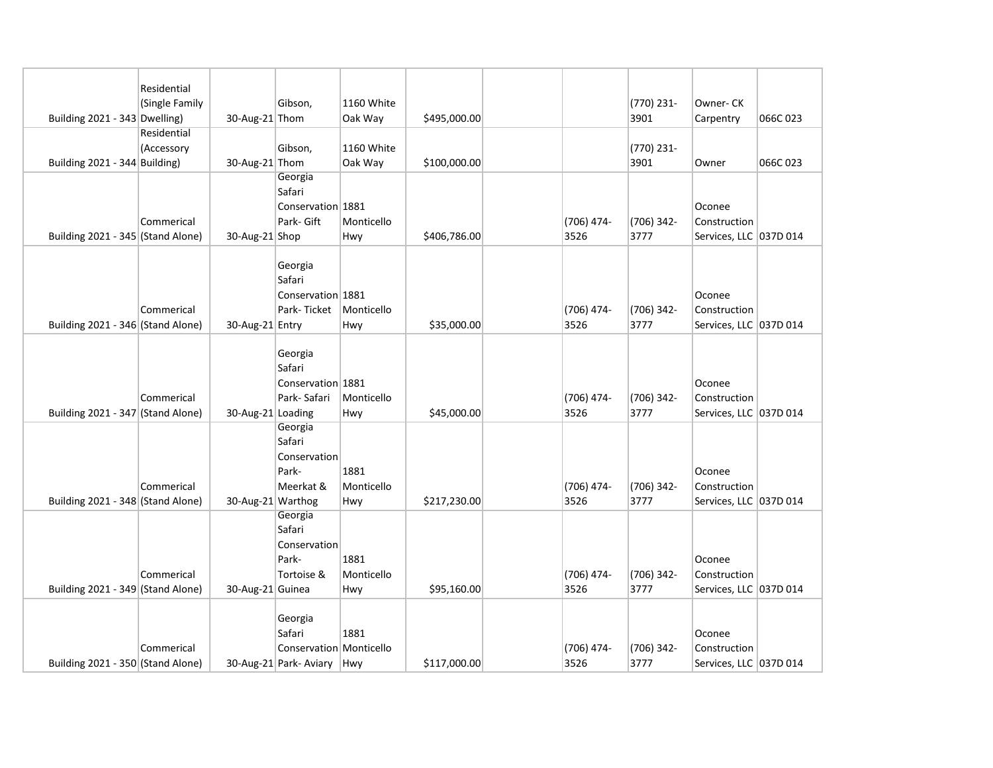|                                   | Residential    |                   |                         |            |              |              |                    |                        |          |
|-----------------------------------|----------------|-------------------|-------------------------|------------|--------------|--------------|--------------------|------------------------|----------|
|                                   | (Single Family |                   | Gibson,                 | 1160 White |              |              | (770) 231-         | Owner-CK               |          |
| Building 2021 - 343 Dwelling)     |                | 30-Aug-21 Thom    |                         | Oak Way    | \$495,000.00 |              | 3901               | Carpentry              | 066C 023 |
|                                   | Residential    |                   |                         |            |              |              |                    |                        |          |
|                                   | (Accessory     |                   | Gibson,                 | 1160 White |              |              | (770) 231-         |                        |          |
| Building 2021 - 344 Building)     |                | 30-Aug-21 Thom    |                         | Oak Way    | \$100,000.00 |              | 3901               | Owner                  | 066C 023 |
|                                   |                |                   | Georgia                 |            |              |              |                    |                        |          |
|                                   |                |                   | Safari                  |            |              |              |                    |                        |          |
|                                   |                |                   | Conservation 1881       |            |              |              |                    | Oconee                 |          |
|                                   | Commerical     |                   | Park- Gift              | Monticello |              | $(706)$ 474- | (706) 342-         | Construction           |          |
| Building 2021 - 345 (Stand Alone) |                | 30-Aug-21 Shop    |                         | Hwy        | \$406,786.00 | 3526         | 3777               | Services, LLC 037D 014 |          |
|                                   |                |                   |                         |            |              |              |                    |                        |          |
|                                   |                |                   | Georgia                 |            |              |              |                    |                        |          |
|                                   |                |                   | Safari                  |            |              |              |                    |                        |          |
|                                   |                |                   | Conservation 1881       |            |              |              |                    | Oconee                 |          |
|                                   | Commerical     |                   | Park-Ticket             | Monticello |              | $(706)$ 474- | (706) 342-         | Construction           |          |
| Building 2021 - 346 (Stand Alone) |                | 30-Aug-21 Entry   |                         | Hwy        | \$35,000.00  | 3526         | 3777               | Services, LLC 037D 014 |          |
|                                   |                |                   |                         |            |              |              |                    |                        |          |
|                                   |                |                   | Georgia                 |            |              |              |                    |                        |          |
|                                   |                |                   | Safari                  |            |              |              |                    |                        |          |
|                                   |                |                   | Conservation 1881       |            |              |              |                    | Oconee                 |          |
|                                   | Commerical     |                   | Park-Safari             | Monticello |              | $(706)$ 474- | (706) 342-         | Construction           |          |
| Building 2021 - 347 (Stand Alone) |                | 30-Aug-21 Loading |                         | Hwy        | \$45,000.00  | 3526         | 3777               | Services, LLC 037D 014 |          |
|                                   |                |                   | Georgia                 |            |              |              |                    |                        |          |
|                                   |                |                   | Safari                  |            |              |              |                    |                        |          |
|                                   |                |                   | Conservation            |            |              |              |                    |                        |          |
|                                   |                |                   | Park-                   | 1881       |              |              |                    | Oconee                 |          |
|                                   | Commerical     |                   | Meerkat &               | Monticello |              | (706) 474-   | (706) 342-<br>3777 | Construction           |          |
| Building 2021 - 348 (Stand Alone) |                | 30-Aug-21 Warthog | Georgia                 | Hwy        | \$217,230.00 | 3526         |                    | Services, LLC 037D 014 |          |
|                                   |                |                   | Safari                  |            |              |              |                    |                        |          |
|                                   |                |                   | Conservation            |            |              |              |                    |                        |          |
|                                   |                |                   | Park-                   | 1881       |              |              |                    | Oconee                 |          |
|                                   | Commerical     |                   | Tortoise &              | Monticello |              | (706) 474-   | (706) 342-         | Construction           |          |
| Building 2021 - 349 (Stand Alone) |                | 30-Aug-21 Guinea  |                         | Hwy        | \$95,160.00  | 3526         | 3777               | Services, LLC 037D 014 |          |
|                                   |                |                   |                         |            |              |              |                    |                        |          |
|                                   |                |                   | Georgia                 |            |              |              |                    |                        |          |
|                                   |                |                   | Safari                  | 1881       |              |              |                    | Oconee                 |          |
|                                   | Commerical     |                   | Conservation Monticello |            |              | (706) 474-   | (706) 342-         | Construction           |          |
| Building 2021 - 350 (Stand Alone) |                |                   | 30-Aug-21 Park- Aviary  | Hwy        | \$117,000.00 | 3526         | 3777               | Services, LLC 037D 014 |          |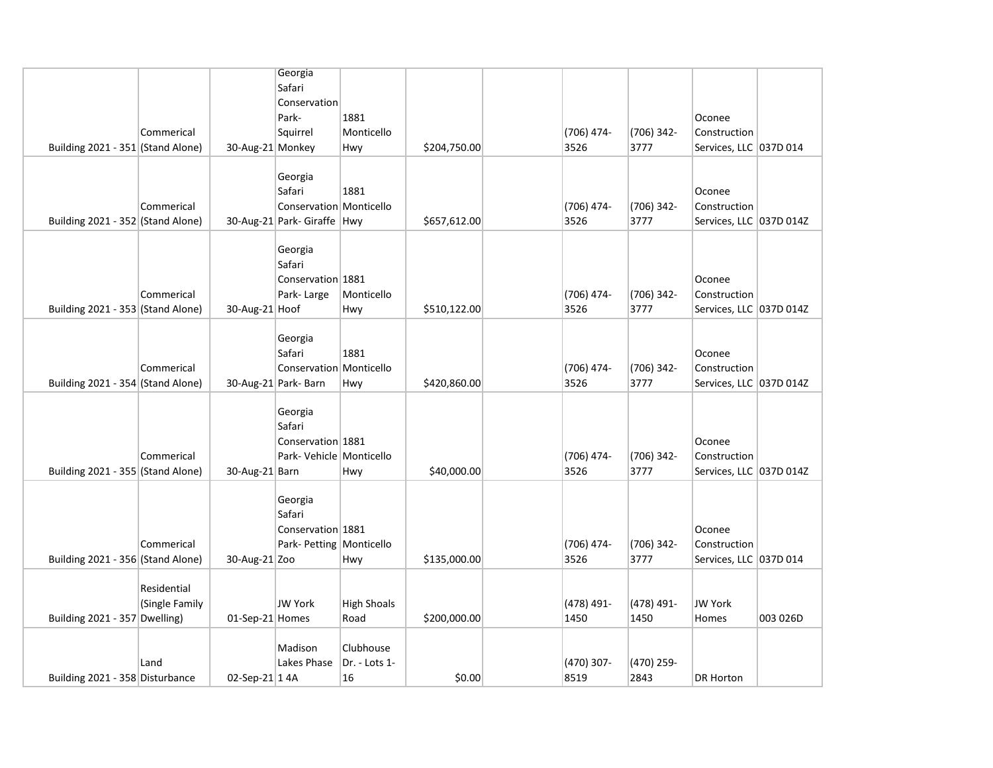|                                   |                |                  | Georgia                     |                    |              |                    |                    |                                        |          |
|-----------------------------------|----------------|------------------|-----------------------------|--------------------|--------------|--------------------|--------------------|----------------------------------------|----------|
|                                   |                |                  | Safari                      |                    |              |                    |                    |                                        |          |
|                                   |                |                  | Conservation<br>Park-       | 1881               |              |                    |                    | Oconee                                 |          |
|                                   | Commerical     |                  | Squirrel                    | Monticello         |              | (706) 474-         | (706) 342-         | Construction                           |          |
| Building 2021 - 351 (Stand Alone) |                | 30-Aug-21 Monkey |                             | Hwy                | \$204,750.00 | 3526               | 3777               | Services, LLC 037D 014                 |          |
|                                   |                |                  |                             |                    |              |                    |                    |                                        |          |
|                                   |                |                  | Georgia                     |                    |              |                    |                    |                                        |          |
|                                   |                |                  | Safari                      | 1881               |              |                    |                    | Oconee                                 |          |
|                                   | Commerical     |                  | Conservation Monticello     |                    |              | (706) 474-         | (706) 342-         | Construction                           |          |
| Building 2021 - 352 (Stand Alone) |                |                  | 30-Aug-21 Park- Giraffe Hwy |                    | \$657,612.00 | 3526               | 3777               | Services, LLC 037D 014Z                |          |
|                                   |                |                  |                             |                    |              |                    |                    |                                        |          |
|                                   |                |                  | Georgia<br>Safari           |                    |              |                    |                    |                                        |          |
|                                   |                |                  | Conservation 1881           |                    |              |                    |                    | Oconee                                 |          |
|                                   | Commerical     |                  | Park-Large                  | Monticello         |              | (706) 474-         | (706) 342-         | Construction                           |          |
| Building 2021 - 353 (Stand Alone) |                | 30-Aug-21 Hoof   |                             | Hwy                | \$510,122.00 | 3526               | 3777               | Services, LLC 037D 014Z                |          |
|                                   |                |                  |                             |                    |              |                    |                    |                                        |          |
|                                   |                |                  | Georgia                     |                    |              |                    |                    |                                        |          |
|                                   |                |                  | Safari                      | 1881               |              |                    |                    | Oconee                                 |          |
|                                   | Commerical     |                  | Conservation Monticello     |                    |              | (706) 474-         | (706) 342-         | Construction                           |          |
| Building 2021 - 354 (Stand Alone) |                |                  | 30-Aug-21 Park- Barn        | Hwy                | \$420,860.00 | 3526               | 3777               | Services, LLC 037D 014Z                |          |
|                                   |                |                  | Georgia                     |                    |              |                    |                    |                                        |          |
|                                   |                |                  | Safari                      |                    |              |                    |                    |                                        |          |
|                                   |                |                  | Conservation 1881           |                    |              |                    |                    | Oconee                                 |          |
|                                   | Commerical     |                  | Park- Vehicle Monticello    |                    |              | (706) 474-         | (706) 342-         | Construction                           |          |
| Building 2021 - 355 (Stand Alone) |                | 30-Aug-21 Barn   |                             | Hwy                | \$40,000.00  | 3526               | 3777               | Services, LLC 037D 014Z                |          |
|                                   |                |                  |                             |                    |              |                    |                    |                                        |          |
|                                   |                |                  | Georgia                     |                    |              |                    |                    |                                        |          |
|                                   |                |                  | Safari                      |                    |              |                    |                    |                                        |          |
|                                   |                |                  | Conservation 1881           |                    |              |                    |                    | Oconee                                 |          |
| Building 2021 - 356 (Stand Alone) | Commerical     | 30-Aug-21 Zoo    | Park- Petting   Monticello  | Hwy                | \$135,000.00 | (706) 474-<br>3526 | (706) 342-<br>3777 | Construction<br>Services, LLC 037D 014 |          |
|                                   |                |                  |                             |                    |              |                    |                    |                                        |          |
|                                   | Residential    |                  |                             |                    |              |                    |                    |                                        |          |
|                                   | (Single Family |                  | <b>JW York</b>              | <b>High Shoals</b> |              | (478) 491-         | (478) 491-         | <b>JW York</b>                         |          |
| Building 2021 - 357 Dwelling)     |                | 01-Sep-21 Homes  |                             | Road               | \$200,000.00 | 1450               | 1450               | Homes                                  | 003 026D |
|                                   |                |                  |                             |                    |              |                    |                    |                                        |          |
|                                   |                |                  | Madison                     | Clubhouse          |              |                    |                    |                                        |          |
|                                   | Land           |                  | Lakes Phase                 | Dr. - Lots 1-      |              | (470) 307-         | (470) 259-         |                                        |          |
| Building 2021 - 358 Disturbance   |                | 02-Sep-21 14A    |                             | 16                 | \$0.00       | 8519               | 2843               | <b>DR Horton</b>                       |          |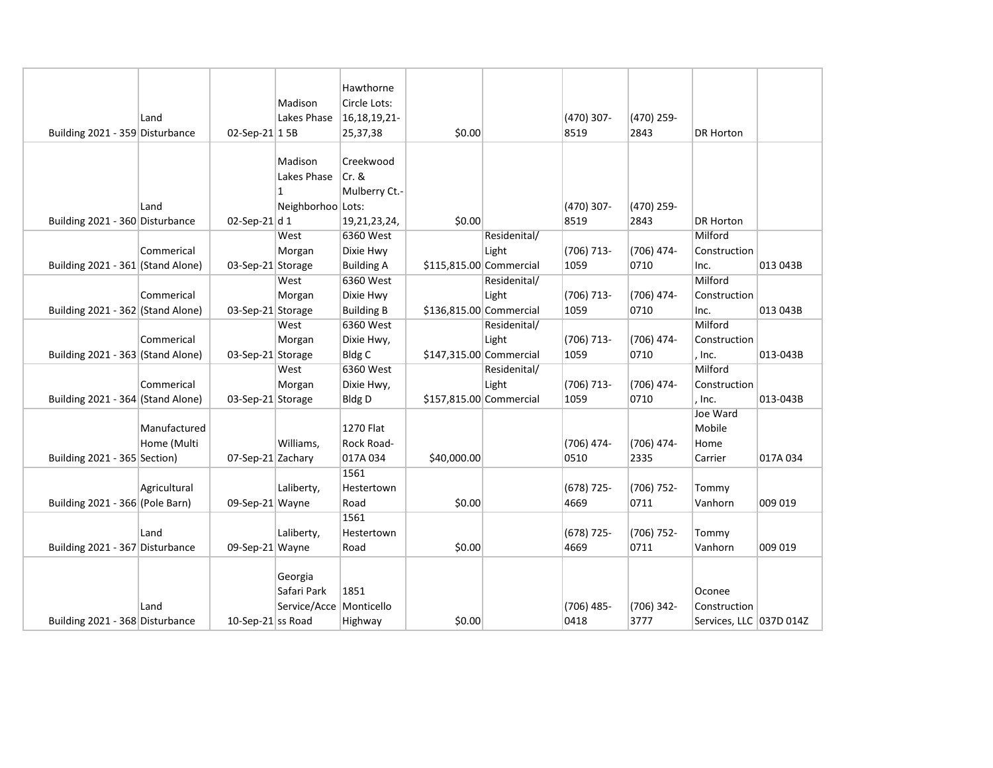|                                   |              |                   |                           | Hawthorne         |                         |              |              |            |                         |          |
|-----------------------------------|--------------|-------------------|---------------------------|-------------------|-------------------------|--------------|--------------|------------|-------------------------|----------|
|                                   |              |                   | Madison                   | Circle Lots:      |                         |              |              |            |                         |          |
|                                   | Land         |                   | Lakes Phase               |                   |                         |              | (470) 307-   |            |                         |          |
|                                   |              |                   |                           | 16, 18, 19, 21    |                         |              |              | (470) 259- |                         |          |
| Building 2021 - 359 Disturbance   |              | 02-Sep-21 1 5B    |                           | 25,37,38          | \$0.00                  |              | 8519         | 2843       | <b>DR Horton</b>        |          |
|                                   |              |                   | Madison                   | Creekwood         |                         |              |              |            |                         |          |
|                                   |              |                   | Lakes Phase               | $Cr.$ &           |                         |              |              |            |                         |          |
|                                   |              |                   | $\mathbf{1}$              | Mulberry Ct.-     |                         |              |              |            |                         |          |
|                                   | Land         |                   | Neighborhoo Lots:         |                   |                         |              | (470) 307-   | (470) 259- |                         |          |
| Building 2021 - 360 Disturbance   |              | 02-Sep-21 d 1     |                           | 19,21,23,24,      | \$0.00                  |              | 8519         | 2843       | <b>DR Horton</b>        |          |
|                                   |              |                   | West                      | 6360 West         |                         | Residenital/ |              |            | Milford                 |          |
|                                   | Commerical   |                   | Morgan                    | Dixie Hwy         |                         | Light        | $(706)$ 713- | (706) 474- | Construction            |          |
| Building 2021 - 361 (Stand Alone) |              | 03-Sep-21 Storage |                           | <b>Building A</b> | \$115,815.00 Commercial |              | 1059         | 0710       | Inc.                    | 013 043B |
|                                   |              |                   | West                      | 6360 West         |                         | Residenital/ |              |            | Milford                 |          |
|                                   | Commerical   |                   | Morgan                    | Dixie Hwy         |                         | Light        | $(706)$ 713- | (706) 474- | Construction            |          |
| Building 2021 - 362 (Stand Alone) |              | 03-Sep-21 Storage |                           | <b>Building B</b> | \$136,815.00 Commercial |              | 1059         | 0710       | Inc.                    | 013 043B |
|                                   |              |                   | West                      | 6360 West         |                         | Residenital/ |              |            | Milford                 |          |
|                                   | Commerical   |                   | Morgan                    | Dixie Hwy,        |                         | Light        | (706) 713-   | (706) 474- | Construction            |          |
| Building 2021 - 363 (Stand Alone) |              | 03-Sep-21 Storage |                           | <b>Bldg C</b>     | \$147,315.00 Commercial |              | 1059         | 0710       | , Inc.                  | 013-043B |
|                                   |              |                   | West                      | 6360 West         |                         | Residenital/ |              |            | Milford                 |          |
|                                   | Commerical   |                   | Morgan                    | Dixie Hwy,        |                         | Light        | $(706)$ 713- | (706) 474- | Construction            |          |
| Building 2021 - 364 (Stand Alone) |              | 03-Sep-21 Storage |                           | <b>Bldg D</b>     | \$157,815.00 Commercial |              | 1059         | 0710       | , Inc.                  | 013-043B |
|                                   |              |                   |                           |                   |                         |              |              |            | Joe Ward                |          |
|                                   | Manufactured |                   |                           | 1270 Flat         |                         |              |              |            | Mobile                  |          |
|                                   | Home (Multi  |                   | Williams,                 | Rock Road-        |                         |              | (706) 474-   | (706) 474- | Home                    |          |
| Building 2021 - 365 Section)      |              | 07-Sep-21 Zachary |                           | 017A 034          | \$40,000.00             |              | 0510         | 2335       | Carrier                 | 017A 034 |
|                                   |              |                   |                           | 1561              |                         |              |              |            |                         |          |
|                                   | Agricultural |                   | Laliberty,                | Hestertown        |                         |              | $(678)$ 725- | (706) 752- | Tommy                   |          |
| Building 2021 - 366 (Pole Barn)   |              | 09-Sep-21 Wayne   |                           | Road              | \$0.00                  |              | 4669         | 0711       | Vanhorn                 | 009 019  |
|                                   |              |                   |                           | 1561              |                         |              |              |            |                         |          |
|                                   | Land         |                   | Laliberty,                | Hestertown        |                         |              | (678) 725-   | (706) 752- | Tommy                   |          |
| Building 2021 - 367 Disturbance   |              | 09-Sep-21 Wayne   |                           | Road              | \$0.00                  |              | 4669         | 0711       | Vanhorn                 | 009 019  |
|                                   |              |                   |                           |                   |                         |              |              |            |                         |          |
|                                   |              |                   | Georgia                   |                   |                         |              |              |            |                         |          |
|                                   |              |                   | Safari Park               | 1851              |                         |              |              |            | Oconee                  |          |
|                                   | Land         |                   | Service/Acce   Monticello |                   |                         |              | $(706)$ 485- | (706) 342- | Construction            |          |
| Building 2021 - 368 Disturbance   |              | 10-Sep-21 ss Road |                           | Highway           | \$0.00                  |              | 0418         | 3777       | Services, LLC 037D 014Z |          |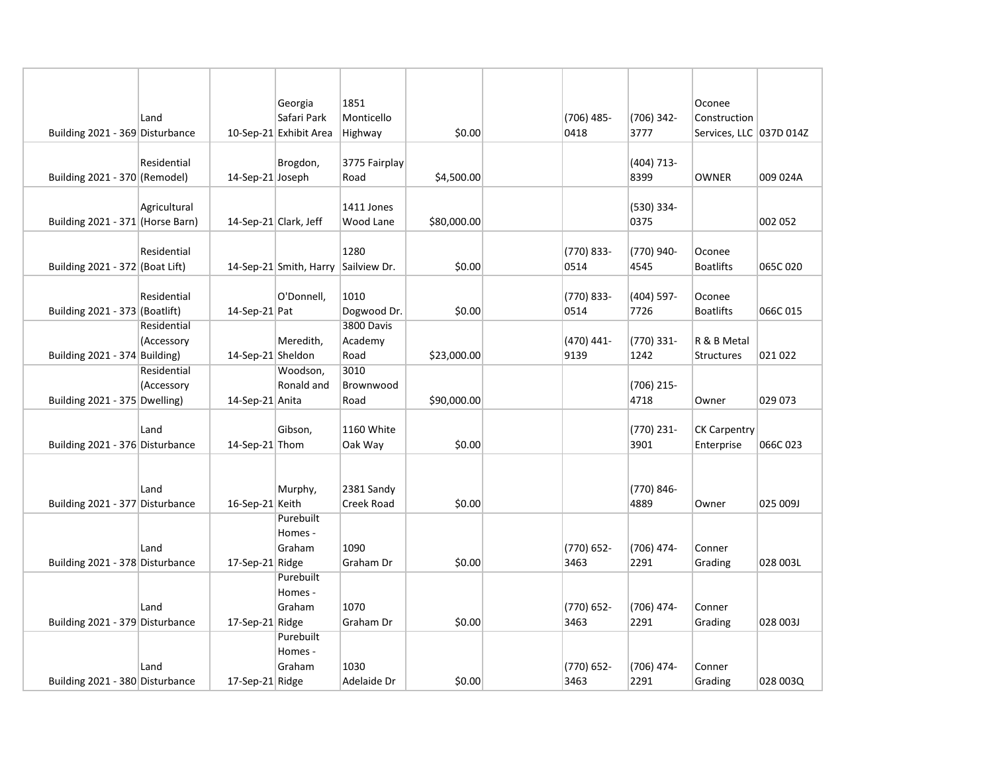|                                  |              |                       | Georgia                             | 1851              |             |               |                    | Oconee                  |          |
|----------------------------------|--------------|-----------------------|-------------------------------------|-------------------|-------------|---------------|--------------------|-------------------------|----------|
|                                  | Land         |                       | Safari Park                         | Monticello        |             | (706) 485-    | (706) 342-         | Construction            |          |
| Building 2021 - 369 Disturbance  |              |                       | 10-Sep-21 Exhibit Area              | Highway           | \$0.00      | 0418          | 3777               | Services, LLC 037D 014Z |          |
|                                  |              |                       |                                     |                   |             |               |                    |                         |          |
|                                  | Residential  |                       | Brogdon,                            | 3775 Fairplay     |             |               | (404) 713-         |                         |          |
| Building 2021 - 370 (Remodel)    |              | 14-Sep-21 Joseph      |                                     | Road              | \$4,500.00  |               | 8399               | <b>OWNER</b>            | 009 024A |
|                                  |              |                       |                                     |                   |             |               |                    |                         |          |
|                                  | Agricultural |                       |                                     | 1411 Jones        |             |               | (530) 334-         |                         |          |
| Building 2021 - 371 (Horse Barn) |              | 14-Sep-21 Clark, Jeff |                                     | Wood Lane         | \$80,000.00 |               | 0375               |                         | 002 052  |
|                                  |              |                       |                                     |                   |             |               |                    |                         |          |
|                                  | Residential  |                       |                                     | 1280              |             | (770) 833-    | (770) 940-         | Oconee                  |          |
| Building 2021 - 372 (Boat Lift)  |              |                       | 14-Sep-21 Smith, Harry Sailview Dr. |                   | \$0.00      | 0514          | 4545               | <b>Boatlifts</b>        | 065C 020 |
|                                  |              |                       |                                     |                   |             |               |                    |                         |          |
|                                  | Residential  |                       | O'Donnell,                          | 1010              |             | (770) 833-    | (404) 597-         | Oconee                  |          |
| Building 2021 - 373 (Boatlift)   |              | $14$ -Sep-21 Pat      |                                     | Dogwood Dr.       | \$0.00      | 0514          | 7726               | <b>Boatlifts</b>        | 066C015  |
|                                  | Residential  |                       |                                     | 3800 Davis        |             |               |                    |                         |          |
|                                  | (Accessory   |                       | Meredith,                           | Academy           |             | (470) 441-    | (770) 331-         | R & B Metal             |          |
| Building $2021 - 374$ Building)  |              | 14-Sep-21 Sheldon     |                                     | Road<br>3010      | \$23,000.00 | 9139          | 1242               | Structures              | 021 022  |
|                                  | Residential  |                       | Woodson,                            |                   |             |               |                    |                         |          |
|                                  | (Accessory   |                       | Ronald and                          | Brownwood<br>Road | \$90,000.00 |               | (706) 215-<br>4718 |                         | 029 073  |
| Building 2021 - 375 Dwelling)    |              | 14-Sep-21 Anita       |                                     |                   |             |               |                    | Owner                   |          |
|                                  | Land         |                       | Gibson,                             | 1160 White        |             |               | (770) 231-         | <b>CK Carpentry</b>     |          |
| Building 2021 - 376 Disturbance  |              | 14-Sep-21 Thom        |                                     | Oak Way           | \$0.00      |               | 3901               | Enterprise              | 066C 023 |
|                                  |              |                       |                                     |                   |             |               |                    |                         |          |
|                                  |              |                       |                                     |                   |             |               |                    |                         |          |
|                                  | Land         |                       | Murphy,                             | 2381 Sandy        |             |               | (770) 846-         |                         |          |
| Building 2021 - 377 Disturbance  |              | 16-Sep-21 Keith       |                                     | Creek Road        | \$0.00      |               | 4889               | Owner                   | 025 009J |
|                                  |              |                       | Purebuilt                           |                   |             |               |                    |                         |          |
|                                  |              |                       | Homes -                             |                   |             |               |                    |                         |          |
|                                  | Land         |                       | Graham                              | 1090              |             | (770) 652-    | (706) 474-         | Conner                  |          |
| Building 2021 - 378 Disturbance  |              | 17-Sep-21 Ridge       |                                     | Graham Dr         | \$0.00      | 3463          | 2291               | Grading                 | 028 003L |
|                                  |              |                       | Purebuilt                           |                   |             |               |                    |                         |          |
|                                  |              |                       | Homes -                             |                   |             |               |                    |                         |          |
|                                  | Land         |                       | Graham                              | 1070              |             | (770) 652-    | (706) 474-         | Conner                  |          |
| Building 2021 - 379 Disturbance  |              | 17-Sep-21 Ridge       |                                     | Graham Dr         | \$0.00      | 3463          | 2291               | Grading                 | 028 003J |
|                                  |              |                       | Purebuilt                           |                   |             |               |                    |                         |          |
|                                  |              |                       | Homes -                             |                   |             |               |                    |                         |          |
|                                  | Land         |                       | Graham                              | 1030              |             | $(770) 652 -$ | (706) 474-         | Conner                  |          |
| Building 2021 - 380 Disturbance  |              | 17-Sep-21 Ridge       |                                     | Adelaide Dr       | \$0.00      | 3463          | 2291               | Grading                 | 028 003Q |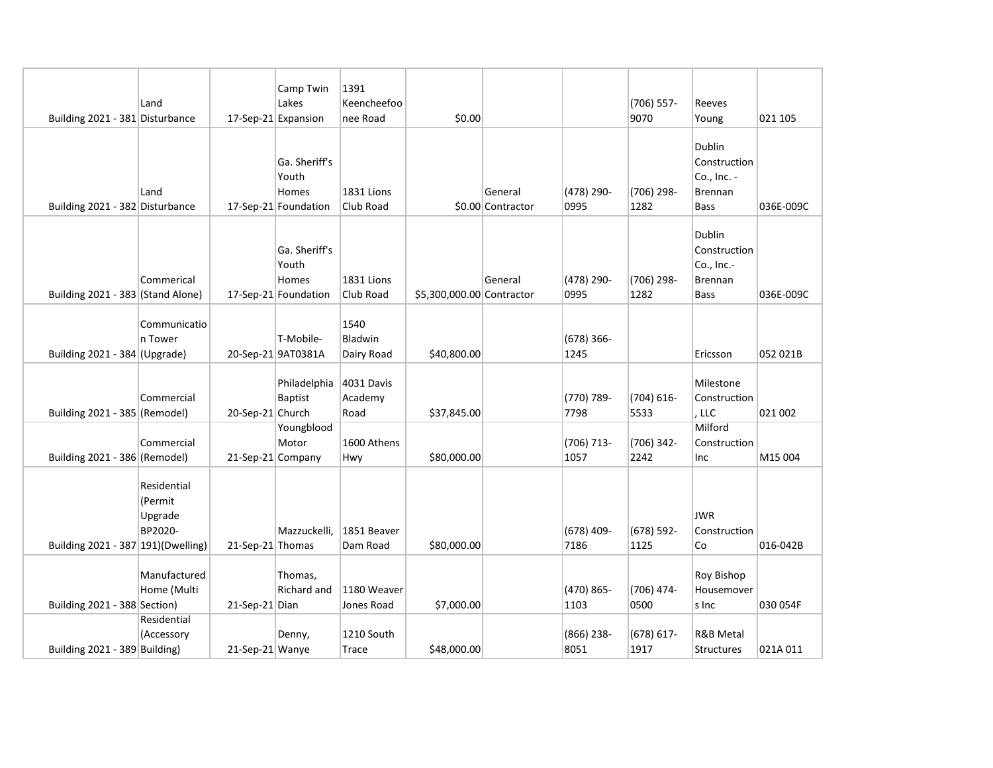|                                     |                                              |                     | Camp Twin                                               | 1391                          |                           |                              |                      |                       |                                                                       |           |
|-------------------------------------|----------------------------------------------|---------------------|---------------------------------------------------------|-------------------------------|---------------------------|------------------------------|----------------------|-----------------------|-----------------------------------------------------------------------|-----------|
|                                     | Land                                         |                     | Lakes                                                   | Keencheefoo                   |                           |                              |                      | (706) 557-            | Reeves                                                                |           |
| Building 2021 - 381 Disturbance     |                                              | 17-Sep-21 Expansion |                                                         | nee Road                      | \$0.00                    |                              |                      | 9070                  | Young                                                                 | 021 105   |
| Building 2021 - 382 Disturbance     | Land                                         |                     | Ga. Sheriff's<br>Youth<br>Homes<br>17-Sep-21 Foundation | 1831 Lions<br>Club Road       |                           | General<br>\$0.00 Contractor | (478) 290-<br>0995   | (706) 298-<br>1282    | Dublin<br>Construction<br>Co., Inc. -<br>Brennan<br><b>Bass</b>       | 036E-009C |
| Building 2021 - 383 (Stand Alone)   | Commerical                                   |                     | Ga. Sheriff's<br>Youth<br>Homes<br>17-Sep-21 Foundation | 1831 Lions<br>Club Road       | \$5,300,000.00 Contractor | General                      | (478) 290-<br>0995   | (706) 298-<br>1282    | Dublin<br>Construction<br>Co., Inc.-<br><b>Brennan</b><br><b>Bass</b> | 036E-009C |
| Building 2021 - 384 (Upgrade)       | Communicatio<br>n Tower                      |                     | T-Mobile-<br>20-Sep-21 9AT0381A                         | 1540<br>Bladwin<br>Dairy Road | \$40,800.00               |                              | $(678)$ 366-<br>1245 |                       | Ericsson                                                              | 052 021B  |
| Building 2021 - 385 (Remodel)       | Commercial                                   | 20-Sep-21 Church    | Philadelphia<br>Baptist                                 | 4031 Davis<br>Academy<br>Road | \$37,845.00               |                              | (770) 789-<br>7798   | $(704) 616 -$<br>5533 | Milestone<br>Construction<br>, LLC                                    | 021 002   |
| Building 2021 - 386 (Remodel)       | Commercial                                   | 21-Sep-21 Company   | Youngblood<br>Motor                                     | 1600 Athens<br>Hwy            | \$80,000.00               |                              | (706) 713-<br>1057   | (706) 342-<br>2242    | Milford<br>Construction<br>Inc                                        | M15 004   |
| Building 2021 - 387 191) (Dwelling) | Residential<br>(Permit<br>Upgrade<br>BP2020- | 21-Sep-21 Thomas    | Mazzuckelli,                                            | 1851 Beaver<br>Dam Road       | \$80,000.00               |                              | $(678)$ 409-<br>7186 | (678) 592-<br>1125    | JWR<br>Construction<br>Co                                             | 016-042B  |
| Building 2021 - 388 Section)        | Manufactured<br>Home (Multi                  | 21-Sep-21 Dian      | Thomas,<br>Richard and                                  | 1180 Weaver<br>Jones Road     | \$7,000.00                |                              | (470) 865-<br>1103   | (706) 474-<br>0500    | <b>Roy Bishop</b><br>Housemover<br>s Inc                              | 030 054F  |
| Building 2021 - 389 Building)       | Residential<br>(Accessory                    | 21-Sep-21 Wanye     | Denny,                                                  | 1210 South<br>Trace           | \$48,000.00               |                              | $(866)$ 238-<br>8051 | $(678) 617 -$<br>1917 | R&B Metal<br><b>Structures</b>                                        | 021A 011  |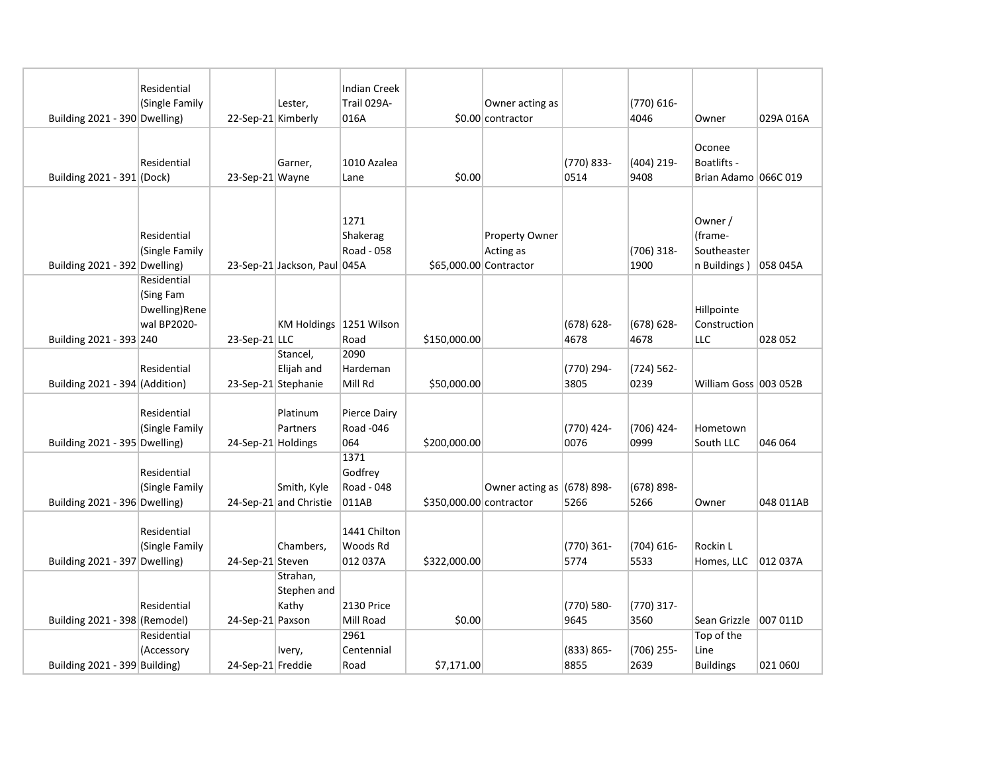|                                | Residential<br>(Single Family                            |                    | Lester,                                       | <b>Indian Creek</b><br>Trail 029A-     |                         | Owner acting as              |                       | (770) 616-            |                                                   |           |
|--------------------------------|----------------------------------------------------------|--------------------|-----------------------------------------------|----------------------------------------|-------------------------|------------------------------|-----------------------|-----------------------|---------------------------------------------------|-----------|
| Building 2021 - 390 Dwelling)  |                                                          | 22-Sep-21 Kimberly |                                               | 016A                                   |                         | \$0.00 contractor            |                       | 4046                  | Owner                                             | 029A 016A |
| Building 2021 - 391 (Dock)     | Residential                                              | 23-Sep-21 Wayne    | Garner,                                       | 1010 Azalea<br>Lane                    | \$0.00                  |                              | (770) 833-<br>0514    | (404) 219-<br>9408    | Oconee<br>Boatlifts -<br>Brian Adamo 066C 019     |           |
|                                |                                                          |                    |                                               |                                        |                         |                              |                       |                       |                                                   |           |
| Building 2021 - 392 Dwelling)  | Residential<br>(Single Family                            |                    | 23-Sep-21 Jackson, Paul 045A                  | 1271<br>Shakerag<br>Road - 058         | \$65,000.00 Contractor  | Property Owner<br>Acting as  |                       | (706) 318-<br>1900    | Owner /<br>(frame-<br>Southeaster<br>n Buildings) | 058 045A  |
| Building 2021 - 393 240        | Residential<br>(Sing Fam<br>Dwelling)Rene<br>wal BP2020- | $23-$ Sep-21 LLC   | KM Holdings 1251 Wilson                       | Road                                   | \$150,000.00            |                              | $(678) 628 -$<br>4678 | $(678) 628 -$<br>4678 | Hillpointe<br>Construction<br>LLC                 | 028 052   |
| Building 2021 - 394 (Addition) | Residential                                              |                    | Stancel,<br>Elijah and<br>23-Sep-21 Stephanie | 2090<br>Hardeman<br>Mill Rd            | \$50,000.00             |                              | (770) 294-<br>3805    | (724) 562-<br>0239    | William Goss   003 052B                           |           |
| Building 2021 - 395 Dwelling)  | Residential<br>(Single Family                            | 24-Sep-21 Holdings | Platinum<br>Partners                          | Pierce Dairy<br>Road -046<br>064       | \$200,000.00            |                              | (770) 424-<br>0076    | (706) 424-<br>0999    | Hometown<br>South LLC                             | 046 064   |
| Building 2021 - 396 Dwelling)  | Residential<br>(Single Family                            |                    | Smith, Kyle<br>24-Sep-21 and Christie         | 1371<br>Godfrey<br>Road - 048<br>011AB | \$350,000.00 contractor | Owner acting as $(678)$ 898- | 5266                  | $(678) 898 -$<br>5266 | Owner                                             | 048 011AB |
| Building 2021 - 397 Dwelling)  | Residential<br>(Single Family                            | 24-Sep-21 Steven   | Chambers,                                     | 1441 Chilton<br>Woods Rd<br>012 037A   | \$322,000.00            |                              | (770) 361-<br>5774    | $(704) 616 -$<br>5533 | Rockin L<br>Homes, LLC                            | 012 037A  |
| Building 2021 - 398 (Remodel)  | Residential                                              | 24-Sep-21 Paxson   | Strahan,<br>Stephen and<br>Kathy              | <b>2130 Price</b><br>Mill Road         | \$0.00                  |                              | (770) 580-<br>9645    | (770) 317-<br>3560    | Sean Grizzle                                      | 007 011D  |
| Building 2021 - 399 Building)  | Residential<br>(Accessory                                | 24-Sep-21 Freddie  | Ivery,                                        | 2961<br>Centennial<br>Road             | \$7,171.00              |                              | $(833) 865 -$<br>8855 | (706) 255-<br>2639    | Top of the<br>Line<br><b>Buildings</b>            | 021 060J  |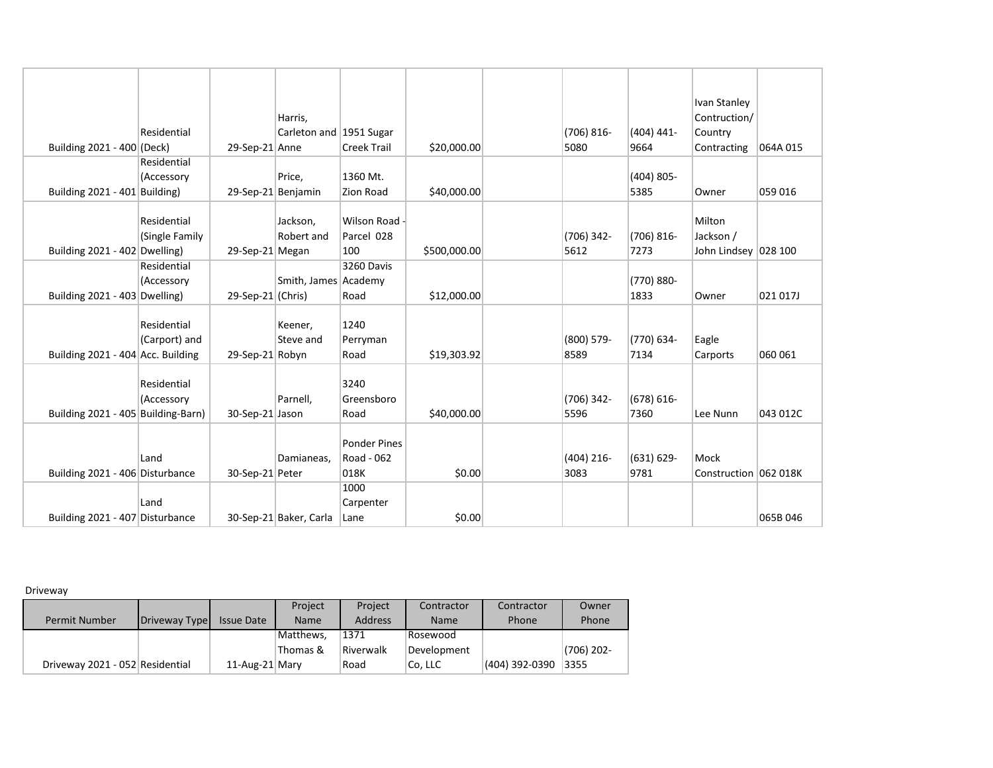| Building 2021 - 400 (Deck)         | Residential                   | 29-Sep-21 Anne     | Harris,<br>Carleton and 1951 Sugar | <b>Creek Trail</b>                        | \$20,000.00  | $(706) 816 -$<br>5080 | $(404)$ 441-<br>9664  | Ivan Stanley<br>Contruction/<br>Country<br>Contracting | 064A015  |
|------------------------------------|-------------------------------|--------------------|------------------------------------|-------------------------------------------|--------------|-----------------------|-----------------------|--------------------------------------------------------|----------|
|                                    | Residential<br>(Accessory     |                    | Price,                             | 1360 Mt.                                  |              |                       | $(404)$ 805-          |                                                        |          |
| Building 2021 - 401 Building)      |                               | 29-Sep-21 Benjamin |                                    | Zion Road                                 | \$40,000.00  |                       | 5385                  | Owner                                                  | 059 016  |
| Building 2021 - 402 Dwelling)      | Residential<br>(Single Family | 29-Sep-21 Megan    | Jackson,<br>Robert and             | Wilson Road -<br>Parcel 028<br>100        | \$500,000.00 | (706) 342-<br>5612    | $(706) 816 -$<br>7273 | Milton<br>Jackson /<br>John Lindsey   028 100          |          |
| Building 2021 - 403 Dwelling)      | Residential<br>(Accessory     | 29-Sep-21 (Chris)  | Smith, James Academy               | 3260 Davis<br>Road                        | \$12,000.00  |                       | (770) 880-<br>1833    | Owner                                                  | 021 017J |
| Building 2021 - 404 Acc. Building  | Residential<br>(Carport) and  | 29-Sep-21 Robyn    | Keener,<br>Steve and               | 1240<br>Perryman<br>Road                  | \$19,303.92  | (800) 579-<br>8589    | (770) 634-<br>7134    | Eagle<br>Carports                                      | 060 061  |
| Building 2021 - 405 Building-Barn) | Residential<br>(Accessory     | 30-Sep-21 Jason    | Parnell,                           | 3240<br>Greensboro<br>Road                | \$40,000.00  | (706) 342-<br>5596    | $(678) 616 -$<br>7360 | Lee Nunn                                               | 043 012C |
| Building 2021 - 406 Disturbance    | Land                          | 30-Sep-21 Peter    | Damianeas.                         | <b>Ponder Pines</b><br>Road - 062<br>018K | \$0.00       | $(404)$ 216-<br>3083  | $(631) 629 -$<br>9781 | Mock<br>Construction 062 018K                          |          |
| Building 2021 - 407 Disturbance    | Land                          |                    | 30-Sep-21 Baker, Carla             | 1000<br>Carpenter<br>Lane                 | \$0.00       |                       |                       |                                                        | 065B 046 |

Driveway

|                                 |               |                   | Project     | Project        | Contractor  | Contractor     | Owner        |
|---------------------------------|---------------|-------------------|-------------|----------------|-------------|----------------|--------------|
| <b>Permit Number</b>            | Driveway Type | <b>Issue Date</b> | <b>Name</b> | <b>Address</b> | <b>Name</b> | Phone          | Phone        |
|                                 |               |                   | Matthews,   | 1371           | Rosewood    |                |              |
|                                 |               |                   | Thomas &    | Riverwalk      | Development |                | $(706)$ 202- |
| Driveway 2021 - 052 Residential |               | 11-Aug-21 Mary    |             | Road           | Co, LLC     | (404) 392-0390 | 3355         |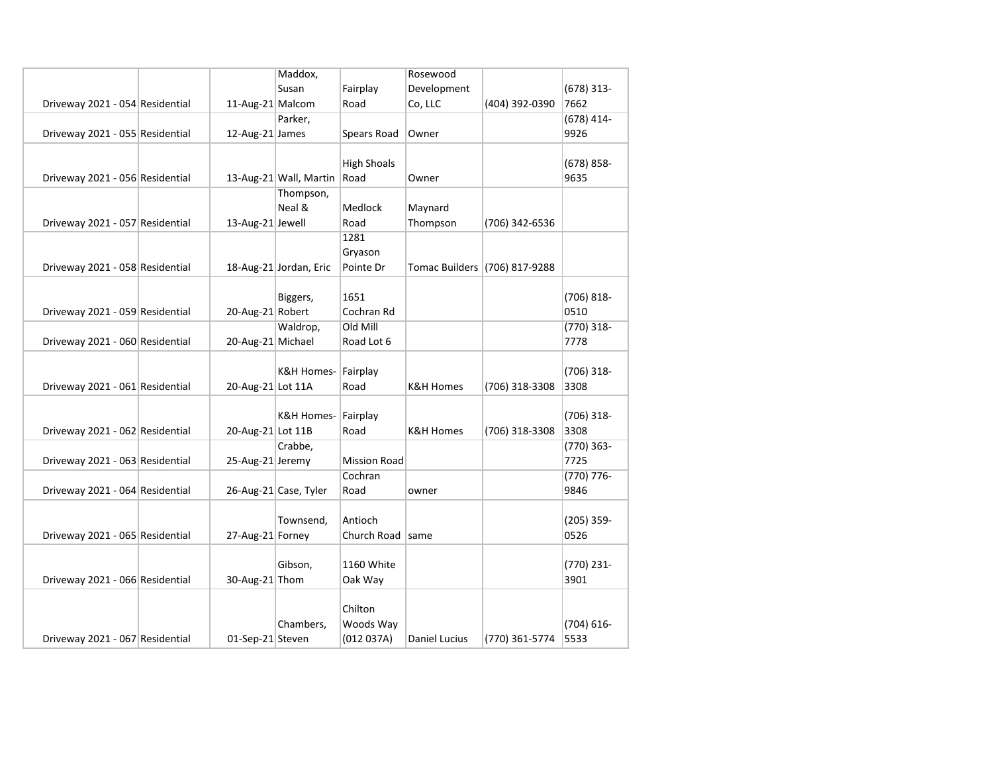|                                 |                   | Maddox,                |                     | Rosewood             |                               |               |
|---------------------------------|-------------------|------------------------|---------------------|----------------------|-------------------------------|---------------|
|                                 |                   | Susan                  | Fairplay            | Development          |                               | $(678)$ 313-  |
| Driveway 2021 - 054 Residential | 11-Aug-21 Malcom  |                        | Road                | Co, LLC              | (404) 392-0390                | 7662          |
|                                 |                   | Parker,                |                     |                      |                               | $(678)$ 414-  |
| Driveway 2021 - 055 Residential | 12-Aug-21 James   |                        | Spears Road         | Owner                |                               | 9926          |
|                                 |                   |                        |                     |                      |                               |               |
|                                 |                   |                        | <b>High Shoals</b>  |                      |                               | $(678) 858 -$ |
| Driveway 2021 - 056 Residential |                   | 13-Aug-21 Wall, Martin | Road                | Owner                |                               | 9635          |
|                                 |                   | Thompson,              |                     |                      |                               |               |
|                                 |                   | Neal &                 | Medlock             | Maynard              |                               |               |
| Driveway 2021 - 057 Residential | 13-Aug-21 Jewell  |                        | Road                | Thompson             | (706) 342-6536                |               |
|                                 |                   |                        | 1281                |                      |                               |               |
|                                 |                   |                        | Gryason             |                      |                               |               |
| Driveway 2021 - 058 Residential |                   | 18-Aug-21 Jordan, Eric | Pointe Dr           |                      | Tomac Builders (706) 817-9288 |               |
|                                 |                   |                        |                     |                      |                               |               |
|                                 |                   | Biggers,               | 1651                |                      |                               | $(706) 818 -$ |
| Driveway 2021 - 059 Residential | 20-Aug-21 Robert  |                        | Cochran Rd          |                      |                               | 0510          |
|                                 |                   | Waldrop,               | Old Mill            |                      |                               | $(770)$ 318-  |
| Driveway 2021 - 060 Residential | 20-Aug-21 Michael |                        | Road Lot 6          |                      |                               | 7778          |
|                                 |                   |                        |                     |                      |                               |               |
|                                 |                   | K&H Homes- Fairplay    |                     |                      |                               | $(706)$ 318-  |
| Driveway 2021 - 061 Residential | 20-Aug-21 Lot 11A |                        | Road                | K&H Homes            | (706) 318-3308                | 3308          |
|                                 |                   | K&H Homes- Fairplay    |                     |                      |                               | $(706)$ 318-  |
| Driveway 2021 - 062 Residential | 20-Aug-21 Lot 11B |                        | Road                | <b>K&amp;H Homes</b> | (706) 318-3308                | 3308          |
|                                 |                   | Crabbe,                |                     |                      |                               | $(770)$ 363-  |
| Driveway 2021 - 063 Residential | 25-Aug-21 Jeremy  |                        | <b>Mission Road</b> |                      |                               | 7725          |
|                                 |                   |                        | Cochran             |                      |                               | $(770) 776 -$ |
| Driveway 2021 - 064 Residential |                   | 26-Aug-21 Case, Tyler  | Road                | owner                |                               | 9846          |
|                                 |                   |                        |                     |                      |                               |               |
|                                 |                   | Townsend,              | Antioch             |                      |                               | $(205)$ 359-  |
| Driveway 2021 - 065 Residential | 27-Aug-21 Forney  |                        | Church Road   same  |                      |                               | 0526          |
|                                 |                   |                        |                     |                      |                               |               |
|                                 |                   | Gibson,                | 1160 White          |                      |                               | (770) 231-    |
| Driveway 2021 - 066 Residential | 30-Aug-21 Thom    |                        | Oak Way             |                      |                               | 3901          |
|                                 |                   |                        |                     |                      |                               |               |
|                                 |                   |                        | Chilton             |                      |                               |               |
|                                 |                   | Chambers,              | Woods Way           |                      |                               | $(704) 616 -$ |
| Driveway 2021 - 067 Residential | 01-Sep-21 Steven  |                        | (012 037A)          | Daniel Lucius        | (770) 361-5774                | 5533          |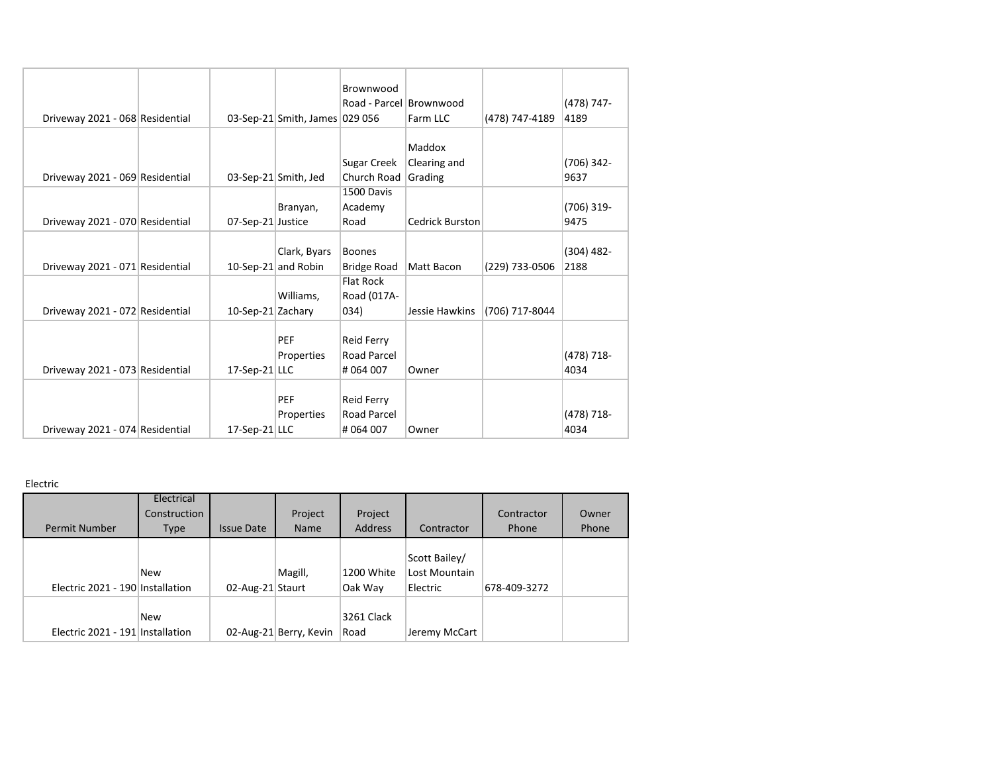|                                 |                   |                                | Brownwood               |                        |                |              |
|---------------------------------|-------------------|--------------------------------|-------------------------|------------------------|----------------|--------------|
|                                 |                   |                                | Road - Parcel Brownwood |                        |                | (478) 747-   |
| Driveway 2021 - 068 Residential |                   | 03-Sep-21 Smith, James 029 056 |                         | Farm LLC               | (478) 747-4189 | 4189         |
|                                 |                   |                                |                         |                        |                |              |
|                                 |                   |                                |                         | Maddox                 |                |              |
|                                 |                   |                                | Sugar Creek             | Clearing and           |                | $(706)$ 342- |
| Driveway 2021 - 069 Residential |                   | 03-Sep-21 Smith, Jed           | Church Road             | Grading                |                | 9637         |
|                                 |                   |                                | 1500 Davis              |                        |                |              |
|                                 |                   | Branyan,                       | Academy                 |                        |                | (706) 319-   |
| Driveway 2021 - 070 Residential | 07-Sep-21 Justice |                                | Road                    | <b>Cedrick Burston</b> |                | 9475         |
|                                 |                   |                                |                         |                        |                |              |
|                                 |                   | Clark, Byars                   | <b>Boones</b>           |                        |                | $(304)$ 482- |
| Driveway 2021 - 071 Residential |                   | 10-Sep-21 and Robin            | <b>Bridge Road</b>      | Matt Bacon             | (229) 733-0506 | 2188         |
|                                 |                   |                                | <b>Flat Rock</b>        |                        |                |              |
|                                 |                   | Williams,                      | Road (017A-             |                        |                |              |
| Driveway 2021 - 072 Residential | 10-Sep-21 Zachary |                                | 034)                    | Jessie Hawkins         | (706) 717-8044 |              |
|                                 |                   |                                |                         |                        |                |              |
|                                 |                   | <b>PEF</b>                     | Reid Ferry              |                        |                |              |
|                                 |                   | Properties                     | <b>Road Parcel</b>      |                        |                | (478) 718-   |
| Driveway 2021 - 073 Residential | $17-Sep-21$ LLC   |                                | #064007                 | Owner                  |                | 4034         |
|                                 |                   |                                |                         |                        |                |              |
|                                 |                   | <b>PEF</b>                     | Reid Ferry              |                        |                |              |
|                                 |                   | Properties                     | <b>Road Parcel</b>      |                        |                | (478) 718-   |
| Driveway 2021 - 074 Residential | $17-Sep-21$ LLC   |                                | #064007                 | Owner                  |                | 4034         |

Electric

| <b>Permit Number</b>             | Electrical<br>Construction<br>Type | <b>Issue Date</b> | Project<br><b>Name</b> | Project<br><b>Address</b> | Contractor                                 | Contractor<br>Phone | Owner<br>Phone |
|----------------------------------|------------------------------------|-------------------|------------------------|---------------------------|--------------------------------------------|---------------------|----------------|
| Electric 2021 - 190 Installation | <b>New</b>                         | 02-Aug-21 Staurt  | Magill,                | 1200 White<br>Oak Way     | Scott Bailey/<br>Lost Mountain<br>Electric | 678-409-3272        |                |
| Electric 2021 - 191 Installation | New                                |                   | 02-Aug-21 Berry, Kevin | 3261 Clack<br>Road        | Jeremy McCart                              |                     |                |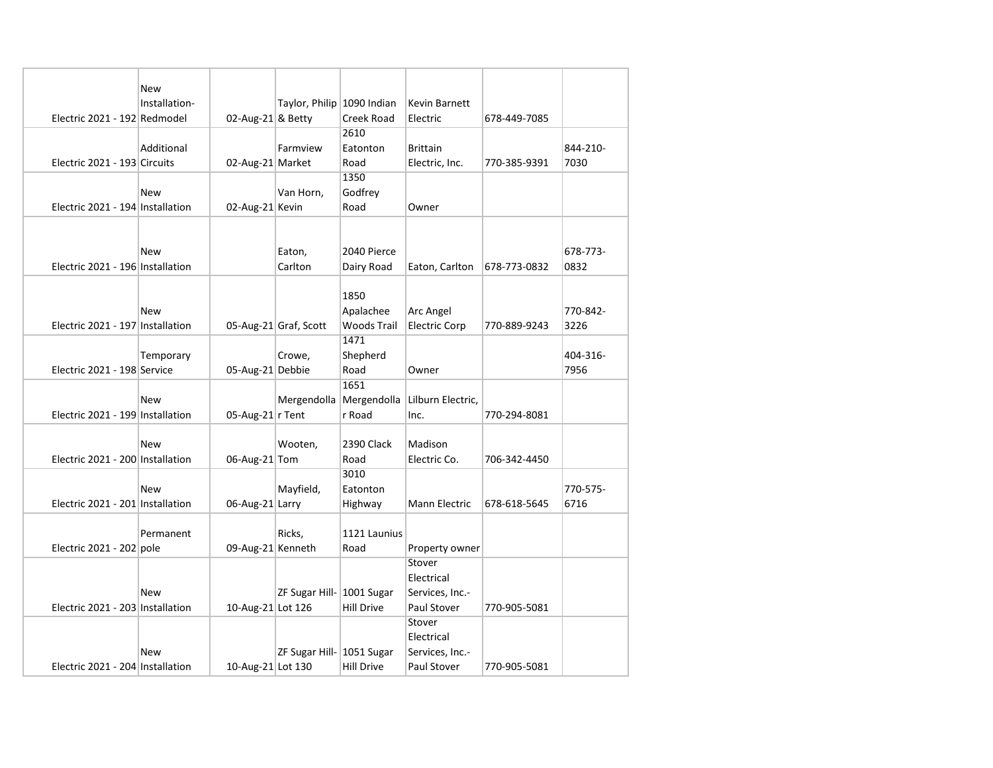|                                  | New           |                    |                            |                         |                          |              |          |
|----------------------------------|---------------|--------------------|----------------------------|-------------------------|--------------------------|--------------|----------|
|                                  | Installation- |                    | Taylor, Philip 1090 Indian |                         | Kevin Barnett            |              |          |
| Electric 2021 - 192 Redmodel     |               | 02-Aug-21 & Betty  |                            | Creek Road              | Electric                 | 678-449-7085 |          |
|                                  |               |                    |                            | 2610                    |                          |              |          |
|                                  | Additional    |                    | Farmview                   | Eatonton                | <b>Brittain</b>          |              | 844-210- |
| Electric 2021 - 193 Circuits     |               | 02-Aug-21 Market   |                            | Road                    | Electric, Inc.           | 770-385-9391 | 7030     |
|                                  |               |                    |                            | 1350                    |                          |              |          |
|                                  | New           |                    | Van Horn,                  | Godfrey                 |                          |              |          |
| Electric 2021 - 194 Installation |               | 02-Aug-21 Kevin    |                            | Road                    | Owner                    |              |          |
|                                  |               |                    |                            |                         |                          |              |          |
|                                  |               |                    |                            |                         |                          |              |          |
|                                  | <b>New</b>    |                    | Eaton,                     | 2040 Pierce             |                          |              | 678-773- |
| Electric 2021 - 196 Installation |               |                    | Carlton                    | Dairy Road              | Eaton, Carlton           | 678-773-0832 | 0832     |
|                                  |               |                    |                            |                         |                          |              |          |
|                                  |               |                    |                            | 1850                    |                          |              |          |
|                                  | New           |                    |                            | Apalachee               | Arc Angel                |              | 770-842- |
| Electric 2021 - 197 Installation |               |                    | 05-Aug-21 Graf, Scott      | <b>Woods Trail</b>      | <b>Electric Corp</b>     | 770-889-9243 | 3226     |
|                                  |               |                    |                            | 1471                    |                          |              |          |
|                                  | Temporary     |                    | Crowe,                     | Shepherd                |                          |              | 404-316- |
| Electric 2021 - 198 Service      |               | 05-Aug-21 Debbie   |                            | Road                    | Owner                    |              | 7956     |
|                                  |               |                    |                            | 1651                    |                          |              |          |
|                                  | New           |                    |                            | Mergendolla Mergendolla | Lilburn Electric,        |              |          |
| Electric 2021 - 199 Installation |               | 05-Aug-21 $r$ Tent |                            | r Road                  | Inc.                     | 770-294-8081 |          |
|                                  |               |                    |                            |                         |                          |              |          |
|                                  | New           |                    | Wooten,                    | 2390 Clack              | Madison                  |              |          |
| Electric 2021 - 200 Installation |               | 06-Aug-21 Tom      |                            | Road                    | Electric Co.             | 706-342-4450 |          |
|                                  |               |                    |                            | 3010                    |                          |              |          |
|                                  | New           |                    | Mayfield,                  | Eatonton                |                          |              | 770-575- |
| Electric 2021 - 201 Installation |               | 06-Aug-21 Larry    |                            | Highway                 | Mann Electric            | 678-618-5645 | 6716     |
|                                  |               |                    |                            |                         |                          |              |          |
|                                  | Permanent     |                    | Ricks,                     | 1121 Launius            |                          |              |          |
|                                  |               | 09-Aug-21 Kenneth  |                            |                         |                          |              |          |
| Electric 2021 - 202 pole         |               |                    |                            | Road                    | Property owner<br>Stover |              |          |
|                                  |               |                    |                            |                         | Electrical               |              |          |
|                                  | New           |                    |                            |                         |                          |              |          |
|                                  |               |                    | ZF Sugar Hill- 1001 Sugar  |                         | Services, Inc.-          |              |          |
| Electric 2021 - 203 Installation |               | 10-Aug-21 Lot 126  |                            | <b>Hill Drive</b>       | Paul Stover              | 770-905-5081 |          |
|                                  |               |                    |                            |                         | Stover                   |              |          |
|                                  |               |                    |                            |                         | Electrical               |              |          |
|                                  | New           |                    | ZF Sugar Hill- 1051 Sugar  |                         | Services, Inc.-          |              |          |
| Electric 2021 - 204 Installation |               | 10-Aug-21 Lot 130  |                            | <b>Hill Drive</b>       | Paul Stover              | 770-905-5081 |          |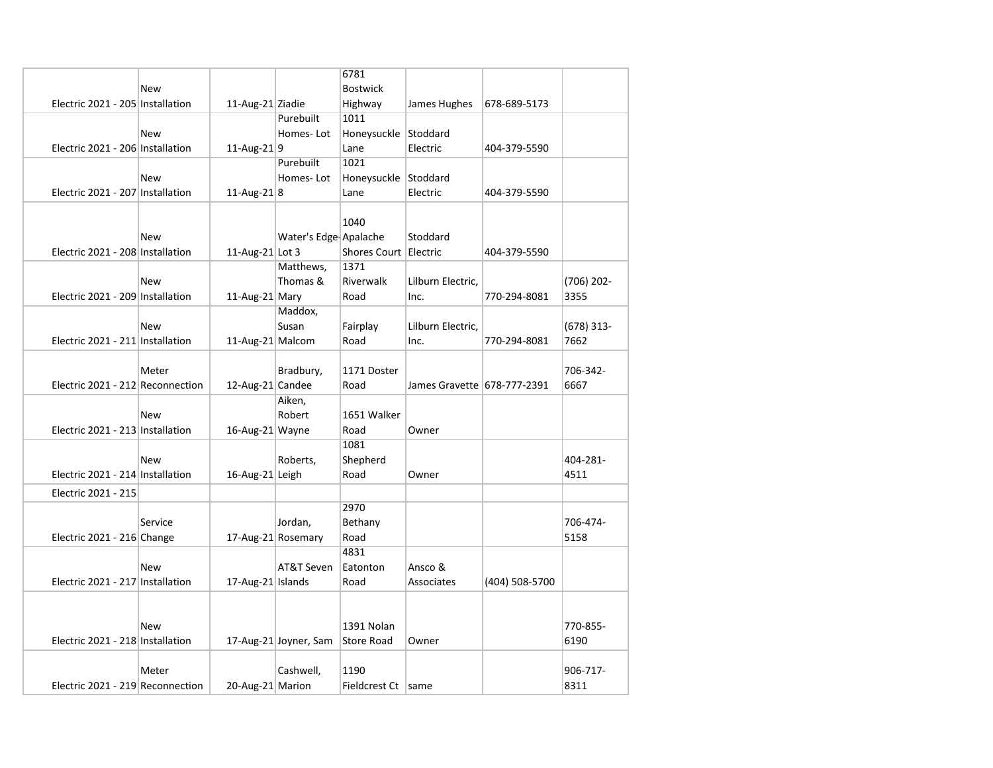|                                  |            |                   |                       | 6781                  |                             |                |              |
|----------------------------------|------------|-------------------|-----------------------|-----------------------|-----------------------------|----------------|--------------|
|                                  | <b>New</b> |                   |                       | <b>Bostwick</b>       |                             |                |              |
| Electric 2021 - 205 Installation |            | 11-Aug-21 Ziadie  |                       | Highway               | James Hughes                | 678-689-5173   |              |
|                                  |            |                   | Purebuilt             | 1011                  |                             |                |              |
|                                  | New        |                   | Homes-Lot             | Honeysuckle Stoddard  |                             |                |              |
| Electric 2021 - 206 Installation |            | 11-Aug-21 $ 9$    |                       | Lane                  | Electric                    | 404-379-5590   |              |
|                                  |            |                   | Purebuilt             | 1021                  |                             |                |              |
|                                  | <b>New</b> |                   | Homes-Lot             | Honeysuckle Stoddard  |                             |                |              |
| Electric 2021 - 207 Installation |            | 11-Aug-21 $ 8$    |                       | Lane                  | Electric                    | 404-379-5590   |              |
|                                  |            |                   |                       |                       |                             |                |              |
|                                  |            |                   |                       | 1040                  |                             |                |              |
|                                  | New        |                   | Water's Edge Apalache |                       | Stoddard                    |                |              |
| Electric 2021 - 208 Installation |            | 11-Aug-21 Lot 3   |                       | Shores Court Electric |                             | 404-379-5590   |              |
|                                  |            |                   | Matthews,             | 1371                  |                             |                |              |
|                                  | <b>New</b> |                   | Thomas &              | Riverwalk             | Lilburn Electric,           |                | $(706)$ 202- |
| Electric 2021 - 209 Installation |            | 11-Aug-21 Mary    |                       | Road                  | Inc.                        | 770-294-8081   | 3355         |
|                                  |            |                   | Maddox,               |                       |                             |                |              |
|                                  | <b>New</b> |                   | Susan                 | Fairplay              | Lilburn Electric,           |                | $(678)$ 313- |
| Electric 2021 - 211 Installation |            | 11-Aug-21 Malcom  |                       | Road                  | Inc.                        | 770-294-8081   | 7662         |
|                                  |            |                   |                       |                       |                             |                |              |
|                                  | Meter      |                   | Bradbury,             | 1171 Doster           |                             |                | 706-342-     |
| Electric 2021 - 212 Reconnection |            | 12-Aug-21 Candee  |                       | Road                  | James Gravette 678-777-2391 |                | 6667         |
|                                  |            |                   | Aiken,                |                       |                             |                |              |
|                                  | <b>New</b> |                   | Robert                | 1651 Walker           |                             |                |              |
| Electric 2021 - 213 Installation |            | 16-Aug-21 Wayne   |                       | Road                  | Owner                       |                |              |
|                                  |            |                   |                       | 1081                  |                             |                |              |
|                                  | <b>New</b> |                   | Roberts,              | Shepherd              |                             |                | 404-281-     |
| Electric 2021 - 214 Installation |            | 16-Aug-21 Leigh   |                       | Road                  | Owner                       |                | 4511         |
|                                  |            |                   |                       |                       |                             |                |              |
| Electric 2021 - 215              |            |                   |                       |                       |                             |                |              |
|                                  |            |                   |                       | 2970                  |                             |                |              |
|                                  | Service    |                   | Jordan,               | Bethany               |                             |                | 706-474-     |
| Electric 2021 - 216 Change       |            |                   | 17-Aug-21 Rosemary    | Road                  |                             |                | 5158         |
|                                  |            |                   |                       | 4831                  |                             |                |              |
|                                  | New        |                   | AT&T Seven            | Eatonton              | Ansco &                     |                |              |
| Electric 2021 - 217 Installation |            | 17-Aug-21 Islands |                       | Road                  | Associates                  | (404) 508-5700 |              |
|                                  |            |                   |                       |                       |                             |                |              |
|                                  |            |                   |                       |                       |                             |                |              |
|                                  | <b>New</b> |                   |                       | 1391 Nolan            |                             |                | 770-855-     |
| Electric 2021 - 218 Installation |            |                   | 17-Aug-21 Joyner, Sam | <b>Store Road</b>     | Owner                       |                | 6190         |
|                                  |            |                   |                       |                       |                             |                |              |
|                                  | Meter      |                   | Cashwell,             | 1190                  |                             |                | 906-717-     |
| Electric 2021 - 219 Reconnection |            | 20-Aug-21 Marion  |                       | Fieldcrest Ct   same  |                             |                | 8311         |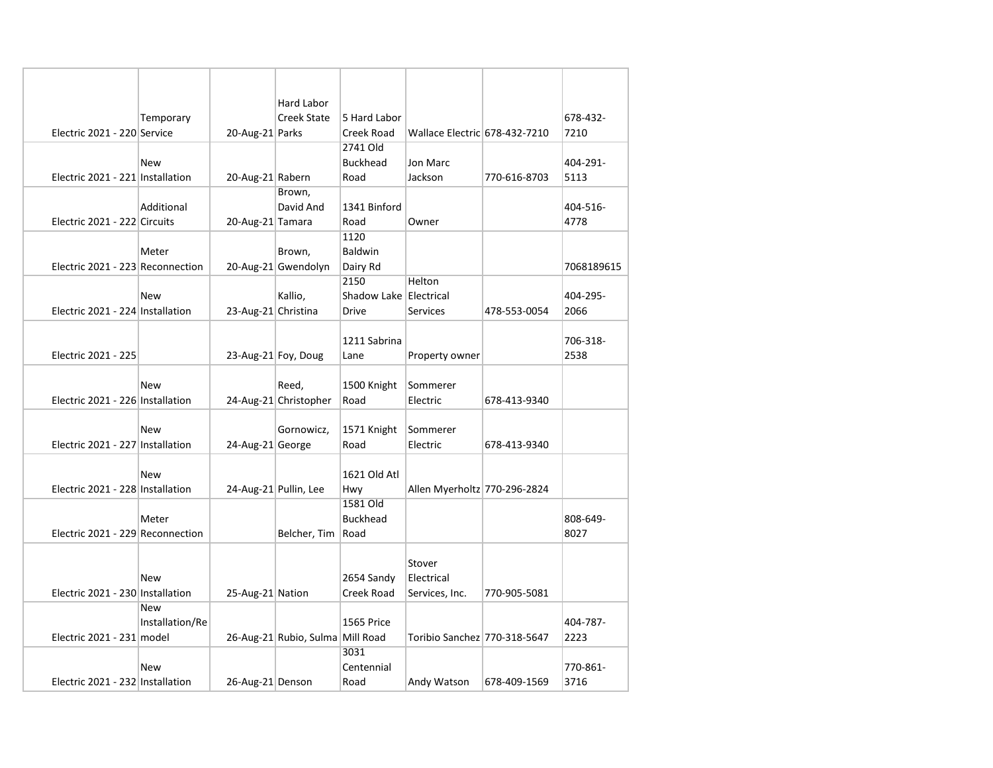|                                  |                 |                     | Hard Labor                       |                        |                               |              |            |
|----------------------------------|-----------------|---------------------|----------------------------------|------------------------|-------------------------------|--------------|------------|
|                                  | Temporary       |                     | Creek State                      | 5 Hard Labor           |                               |              | 678-432-   |
| Electric 2021 - 220 Service      |                 | 20-Aug-21 Parks     |                                  | Creek Road             | Wallace Electric 678-432-7210 |              | 7210       |
|                                  |                 |                     |                                  | 2741 Old               |                               |              |            |
|                                  | New             |                     |                                  | <b>Buckhead</b>        | Jon Marc                      |              | 404-291-   |
| Electric 2021 - 221 Installation |                 | 20-Aug-21 Rabern    |                                  | Road                   | Jackson                       | 770-616-8703 | 5113       |
|                                  |                 |                     | Brown,                           |                        |                               |              |            |
|                                  | Additional      |                     | David And                        | 1341 Binford           |                               |              | 404-516-   |
| Electric 2021 - 222 Circuits     |                 | 20-Aug-21 Tamara    |                                  | Road                   | Owner                         |              | 4778       |
|                                  |                 |                     |                                  | 1120                   |                               |              |            |
|                                  | Meter           |                     | Brown,                           | Baldwin                |                               |              |            |
| Electric 2021 - 223 Reconnection |                 |                     | 20-Aug-21 Gwendolyn              | Dairy Rd               |                               |              | 7068189615 |
|                                  |                 |                     |                                  | 2150                   | Helton                        |              |            |
|                                  | <b>New</b>      |                     | Kallio,                          | Shadow Lake Electrical |                               |              | 404-295-   |
| Electric 2021 - 224 Installation |                 | 23-Aug-21 Christina |                                  | <b>Drive</b>           | <b>Services</b>               | 478-553-0054 | 2066       |
|                                  |                 |                     |                                  |                        |                               |              |            |
|                                  |                 |                     |                                  | 1211 Sabrina           |                               |              | 706-318-   |
| Electric 2021 - 225              |                 |                     | 23-Aug-21 Foy, Doug              | Lane                   | Property owner                |              | 2538       |
|                                  |                 |                     |                                  |                        |                               |              |            |
|                                  | <b>New</b>      |                     | Reed,                            | 1500 Knight            | Sommerer                      |              |            |
| Electric 2021 - 226 Installation |                 |                     | 24-Aug-21 Christopher            | Road                   | Electric                      | 678-413-9340 |            |
|                                  | <b>New</b>      |                     |                                  |                        |                               |              |            |
| Electric 2021 - 227 Installation |                 | 24-Aug-21 George    | Gornowicz,                       | 1571 Knight<br>Road    | Sommerer<br>Electric          | 678-413-9340 |            |
|                                  |                 |                     |                                  |                        |                               |              |            |
|                                  | New             |                     |                                  | 1621 Old Atl           |                               |              |            |
| Electric 2021 - 228 Installation |                 |                     | 24-Aug-21 Pullin, Lee            | Hwy                    | Allen Myerholtz 770-296-2824  |              |            |
|                                  |                 |                     |                                  | 1581 Old               |                               |              |            |
|                                  | Meter           |                     |                                  | <b>Buckhead</b>        |                               |              | 808-649-   |
| Electric 2021 - 229 Reconnection |                 |                     | Belcher, Tim                     | Road                   |                               |              | 8027       |
|                                  |                 |                     |                                  |                        |                               |              |            |
|                                  |                 |                     |                                  |                        | Stover                        |              |            |
|                                  | New             |                     |                                  | 2654 Sandy             | Electrical                    |              |            |
| Electric 2021 - 230 Installation |                 | 25-Aug-21 Nation    |                                  | <b>Creek Road</b>      | Services, Inc.                | 770-905-5081 |            |
|                                  | <b>New</b>      |                     |                                  |                        |                               |              |            |
|                                  | Installation/Re |                     |                                  | 1565 Price             |                               |              | 404-787-   |
| Electric 2021 - 231 model        |                 |                     | 26-Aug-21 Rubio, Sulma Mill Road |                        | Toribio Sanchez 770-318-5647  |              | 2223       |
|                                  |                 |                     |                                  | 3031                   |                               |              |            |
|                                  | New             |                     |                                  | Centennial             |                               |              | 770-861-   |
| Electric 2021 - 232 Installation |                 | 26-Aug-21 Denson    |                                  | Road                   | Andy Watson                   | 678-409-1569 | 3716       |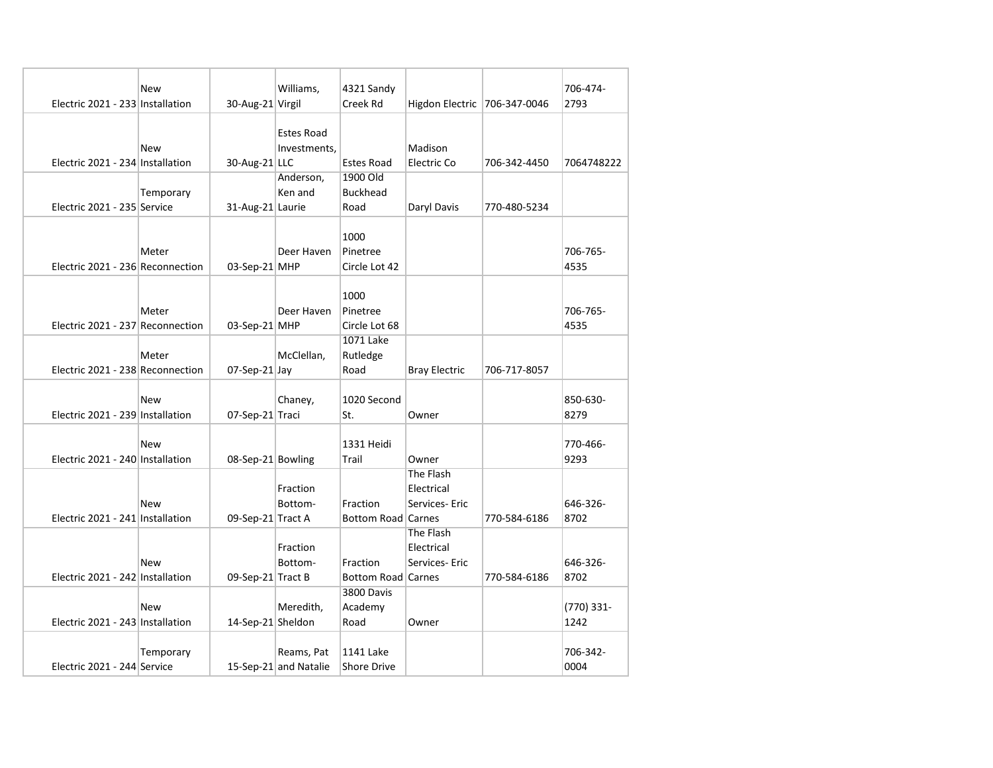|                                  | New       |                   | Williams,             | 4321 Sandy                |                              |              | 706-474-   |
|----------------------------------|-----------|-------------------|-----------------------|---------------------------|------------------------------|--------------|------------|
| Electric 2021 - 233 Installation |           | 30-Aug-21 Virgil  |                       | Creek Rd                  | Higdon Electric 706-347-0046 |              | 2793       |
|                                  |           |                   |                       |                           |                              |              |            |
|                                  |           |                   | Estes Road            |                           |                              |              |            |
|                                  | New       |                   | Investments,          |                           | Madison                      |              |            |
| Electric 2021 - 234 Installation |           | 30-Aug-21 LLC     |                       | <b>Estes Road</b>         | Electric Co                  | 706-342-4450 | 7064748222 |
|                                  |           |                   | Anderson,             | 1900 Old                  |                              |              |            |
|                                  | Temporary |                   | Ken and               | <b>Buckhead</b>           |                              |              |            |
| Electric 2021 - 235 Service      |           | 31-Aug-21 Laurie  |                       | Road                      | Daryl Davis                  | 770-480-5234 |            |
|                                  |           |                   |                       | 1000                      |                              |              |            |
|                                  | Meter     |                   | Deer Haven            | Pinetree                  |                              |              | 706-765-   |
| Electric 2021 - 236 Reconnection |           | 03-Sep-21 MHP     |                       | Circle Lot 42             |                              |              | 4535       |
|                                  |           |                   |                       |                           |                              |              |            |
|                                  |           |                   |                       | 1000                      |                              |              |            |
|                                  | Meter     |                   | Deer Haven            | Pinetree                  |                              |              | 706-765-   |
| Electric 2021 - 237 Reconnection |           | $03-Sep-21$ MHP   |                       | Circle Lot 68             |                              |              | 4535       |
|                                  |           |                   |                       | 1071 Lake                 |                              |              |            |
|                                  | Meter     |                   | McClellan,            | Rutledge                  |                              |              |            |
| Electric 2021 - 238 Reconnection |           | $07-Sep-21$ Jay   |                       | Road                      | <b>Bray Electric</b>         | 706-717-8057 |            |
|                                  |           |                   |                       |                           |                              |              |            |
|                                  | New       |                   | Chaney,               | 1020 Second               |                              |              | 850-630-   |
| Electric 2021 - 239 Installation |           | 07-Sep-21 Traci   |                       | St.                       | Owner                        |              | 8279       |
|                                  |           |                   |                       |                           |                              |              |            |
|                                  | New       |                   |                       | 1331 Heidi                |                              |              | 770-466-   |
| Electric 2021 - 240 Installation |           | 08-Sep-21 Bowling |                       | Trail                     | Owner                        |              | 9293       |
|                                  |           |                   |                       |                           | The Flash                    |              |            |
|                                  |           |                   | Fraction              |                           | Electrical                   |              |            |
|                                  | New       |                   | Bottom-               | Fraction                  | Services- Eric               |              | 646-326-   |
| Electric 2021 - 241 Installation |           | 09-Sep-21 Tract A |                       | <b>Bottom Road Carnes</b> |                              | 770-584-6186 | 8702       |
|                                  |           |                   |                       |                           | The Flash                    |              |            |
|                                  |           |                   | Fraction              |                           | Electrical                   |              |            |
|                                  | New       |                   | Bottom-               | Fraction                  | Services- Eric               |              | 646-326-   |
| Electric 2021 - 242 Installation |           | 09-Sep-21 Tract B |                       | Bottom Road Carnes        |                              | 770-584-6186 | 8702       |
|                                  |           |                   |                       | 3800 Davis                |                              |              |            |
|                                  | New       |                   | Meredith,             | Academy                   |                              |              | (770) 331- |
| Electric 2021 - 243 Installation |           | 14-Sep-21 Sheldon |                       | Road                      | Owner                        |              | 1242       |
|                                  |           |                   |                       |                           |                              |              |            |
|                                  | Temporary |                   | Reams, Pat            | 1141 Lake                 |                              |              | 706-342-   |
| Electric 2021 - 244 Service      |           |                   | 15-Sep-21 and Natalie | Shore Drive               |                              |              | 0004       |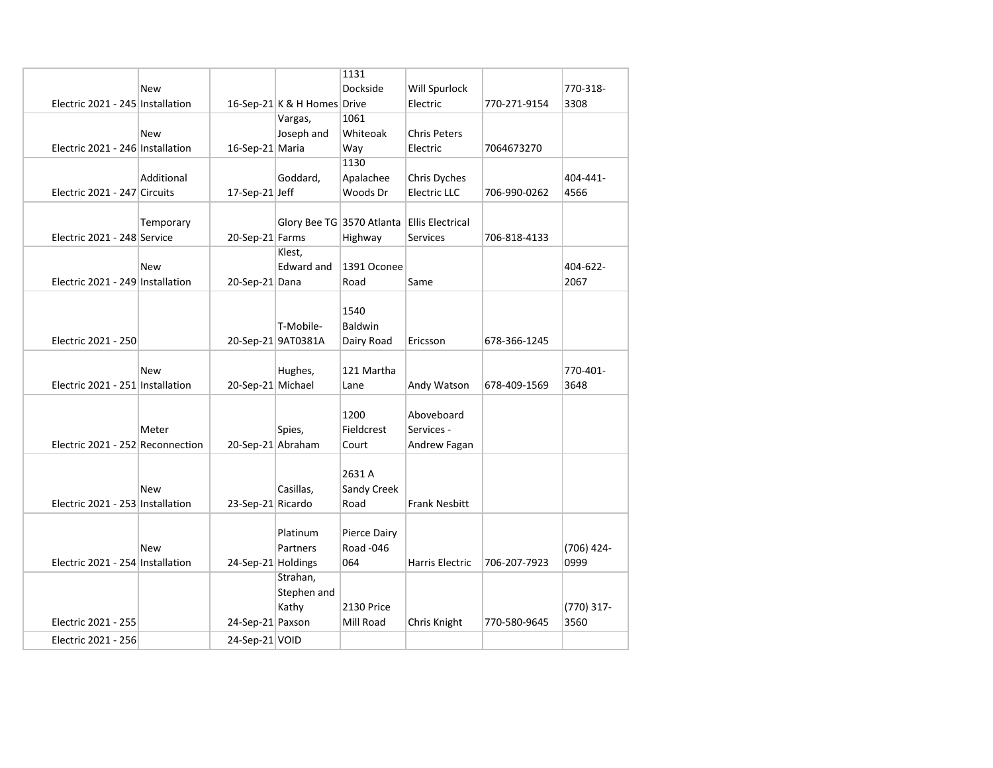|                                  |            |                    |                             | 1131                      |                         |              |                    |
|----------------------------------|------------|--------------------|-----------------------------|---------------------------|-------------------------|--------------|--------------------|
|                                  | New        |                    |                             | Dockside                  | Will Spurlock           |              | 770-318-           |
| Electric 2021 - 245 Installation |            |                    | 16-Sep-21 K & H Homes Drive |                           | Electric                | 770-271-9154 | 3308               |
|                                  |            |                    | Vargas,                     | 1061                      |                         |              |                    |
|                                  | <b>New</b> |                    | Joseph and                  | Whiteoak                  | Chris Peters            |              |                    |
| Electric 2021 - 246 Installation |            | 16-Sep-21 Maria    |                             | Way                       | Electric                | 7064673270   |                    |
|                                  |            |                    |                             | 1130                      |                         |              |                    |
|                                  | Additional |                    | Goddard,                    | Apalachee                 | Chris Dyches            |              | 404-441-           |
| Electric 2021 - 247 Circuits     |            | $17-Sep-21$ Jeff   |                             | Woods Dr                  | <b>Electric LLC</b>     | 706-990-0262 | 4566               |
|                                  |            |                    |                             |                           |                         |              |                    |
|                                  | Temporary  |                    |                             | Glory Bee TG 3570 Atlanta | <b>Ellis Electrical</b> |              |                    |
| Electric 2021 - 248 Service      |            | 20-Sep-21 Farms    |                             | Highway                   | Services                | 706-818-4133 |                    |
|                                  |            |                    | Klest,                      |                           |                         |              |                    |
|                                  | New        |                    | Edward and                  | 1391 Oconee               |                         |              | 404-622-           |
| Electric 2021 - 249 Installation |            | 20-Sep-21 Dana     |                             | Road                      | Same                    |              | 2067               |
|                                  |            |                    |                             |                           |                         |              |                    |
|                                  |            |                    |                             | 1540                      |                         |              |                    |
|                                  |            |                    | T-Mobile-                   | <b>Baldwin</b>            |                         |              |                    |
| Electric 2021 - 250              |            |                    | 20-Sep-21 9AT0381A          | Dairy Road                | Ericsson                | 678-366-1245 |                    |
|                                  |            |                    |                             |                           |                         |              |                    |
|                                  | New        |                    | Hughes,                     | 121 Martha                |                         |              | 770-401-           |
| Electric 2021 - 251 Installation |            | 20-Sep-21 Michael  |                             | Lane                      | Andy Watson             | 678-409-1569 | 3648               |
|                                  |            |                    |                             |                           |                         |              |                    |
|                                  |            |                    |                             | 1200                      | Aboveboard              |              |                    |
|                                  | Meter      |                    | Spies,                      | Fieldcrest                | Services -              |              |                    |
| Electric 2021 - 252 Reconnection |            | 20-Sep-21 Abraham  |                             | Court                     | Andrew Fagan            |              |                    |
|                                  |            |                    |                             |                           |                         |              |                    |
|                                  |            |                    |                             | 2631 A                    |                         |              |                    |
|                                  | New        |                    | Casillas,                   | Sandy Creek               |                         |              |                    |
| Electric 2021 - 253 Installation |            | 23-Sep-21 Ricardo  |                             | Road                      | <b>Frank Nesbitt</b>    |              |                    |
|                                  |            |                    | Platinum                    | Pierce Dairy              |                         |              |                    |
|                                  | New        |                    |                             | <b>Road -046</b>          |                         |              |                    |
| Electric 2021 - 254 Installation |            |                    | Partners                    | 064                       | <b>Harris Electric</b>  | 706-207-7923 | (706) 424-<br>0999 |
|                                  |            | 24-Sep-21 Holdings | Strahan,                    |                           |                         |              |                    |
|                                  |            |                    | Stephen and                 |                           |                         |              |                    |
|                                  |            |                    | Kathy                       | 2130 Price                |                         |              | (770) 317-         |
| Electric 2021 - 255              |            | 24-Sep-21 Paxson   |                             | Mill Road                 | Chris Knight            | 770-580-9645 | 3560               |
|                                  |            |                    |                             |                           |                         |              |                    |
| Electric 2021 - 256              |            | 24-Sep-21 VOID     |                             |                           |                         |              |                    |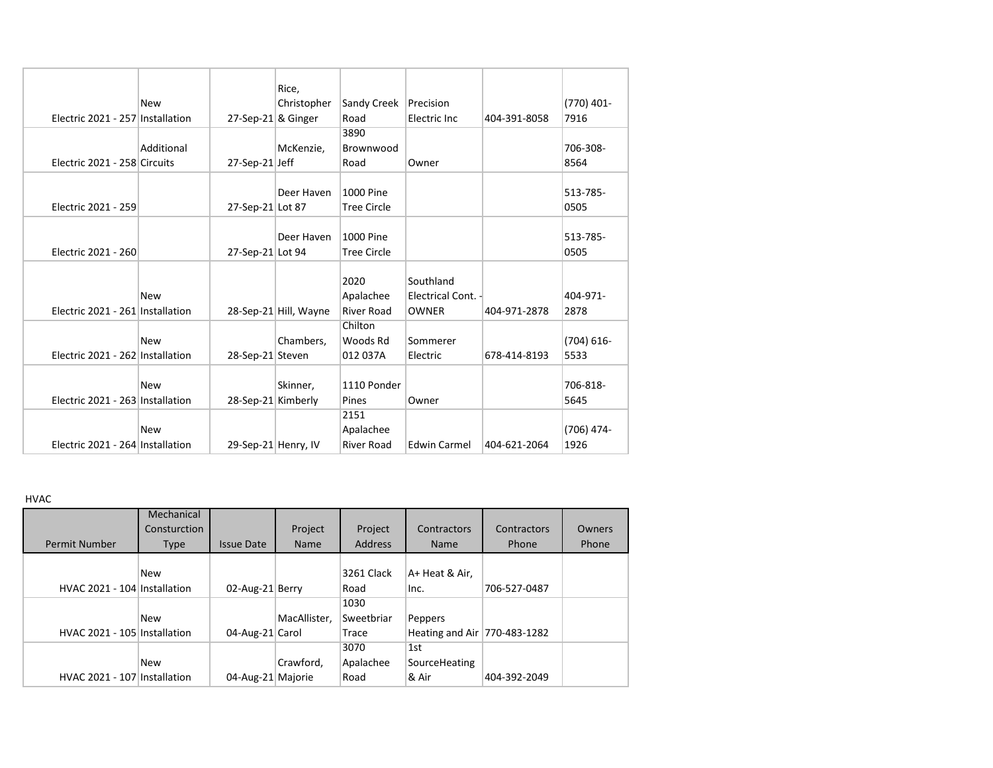|                                  |            |                       | Rice,                 |                    |                     |              |               |
|----------------------------------|------------|-----------------------|-----------------------|--------------------|---------------------|--------------|---------------|
|                                  | <b>New</b> |                       | Christopher           | Sandy Creek        | Precision           |              | (770) 401-    |
| Electric 2021 - 257 Installation |            | $27$ -Sep-21 & Ginger |                       | Road               | Electric Inc        | 404-391-8058 | 7916          |
|                                  |            |                       |                       | 3890               |                     |              |               |
|                                  | Additional |                       | McKenzie,             | Brownwood          |                     |              | 706-308-      |
| Electric 2021 - 258 Circuits     |            | 27-Sep-21 Jeff        |                       | Road               | Owner               |              | 8564          |
|                                  |            |                       | Deer Haven            | 1000 Pine          |                     |              | 513-785-      |
| Electric 2021 - 259              |            |                       |                       |                    |                     |              | 0505          |
|                                  |            | 27-Sep-21 Lot 87      |                       | <b>Tree Circle</b> |                     |              |               |
|                                  |            |                       | Deer Haven            | 1000 Pine          |                     |              | 513-785-      |
| Electric 2021 - 260              |            | 27-Sep-21 Lot 94      |                       | <b>Tree Circle</b> |                     |              | 0505          |
|                                  |            |                       |                       |                    |                     |              |               |
|                                  |            |                       |                       | 2020               | Southland           |              |               |
|                                  | New        |                       |                       | Apalachee          | Electrical Cont. -  |              | 404-971-      |
| Electric 2021 - 261 Installation |            |                       | 28-Sep-21 Hill, Wayne | <b>River Road</b>  | <b>OWNER</b>        | 404-971-2878 | 2878          |
|                                  |            |                       |                       | Chilton            |                     |              |               |
|                                  | <b>New</b> |                       | Chambers,             | Woods Rd           | Sommerer            |              | $(704) 616 -$ |
| Electric 2021 - 262 Installation |            | 28-Sep-21 Steven      |                       | 012 037A           | Electric            | 678-414-8193 | 5533          |
|                                  |            |                       |                       |                    |                     |              |               |
|                                  | <b>New</b> |                       | Skinner,              | 1110 Ponder        |                     |              | 706-818-      |
| Electric 2021 - 263 Installation |            | 28-Sep-21 Kimberly    |                       | Pines              | Owner               |              | 5645          |
|                                  |            |                       |                       | 2151               |                     |              |               |
|                                  | <b>New</b> |                       |                       | Apalachee          |                     |              | (706) 474-    |
| Electric 2021 - 264 Installation |            | 29-Sep-21 Henry, IV   |                       | <b>River Road</b>  | <b>Edwin Carmel</b> | 404-621-2064 | 1926          |

HVAC

| <b>Permit Number</b>         | Mechanical<br>Consturction<br><b>Type</b> | <b>Issue Date</b> | Project<br><b>Name</b> | Project<br><b>Address</b> | Contractors<br><b>Name</b>   | Contractors<br>Phone | Owners<br>Phone |
|------------------------------|-------------------------------------------|-------------------|------------------------|---------------------------|------------------------------|----------------------|-----------------|
|                              | <b>New</b>                                |                   |                        | 3261 Clack                | A+ Heat & Air,               |                      |                 |
| HVAC 2021 - 104 Installation |                                           | 02-Aug-21 Berry   |                        | Road                      | Inc.                         | 706-527-0487         |                 |
|                              |                                           |                   |                        | 1030                      |                              |                      |                 |
|                              | New                                       |                   | MacAllister.           | Sweetbriar                | Peppers                      |                      |                 |
| HVAC 2021 - 105 Installation |                                           | 04-Aug-21 Carol   |                        | Trace                     | Heating and Air 770-483-1282 |                      |                 |
|                              |                                           |                   |                        | 3070                      | 1st                          |                      |                 |
|                              | <b>New</b>                                |                   | Crawford,              | Apalachee                 | SourceHeating                |                      |                 |
| HVAC 2021 - 107 Installation |                                           | 04-Aug-21 Majorie |                        | Road                      | ∣& Air                       | 404-392-2049         |                 |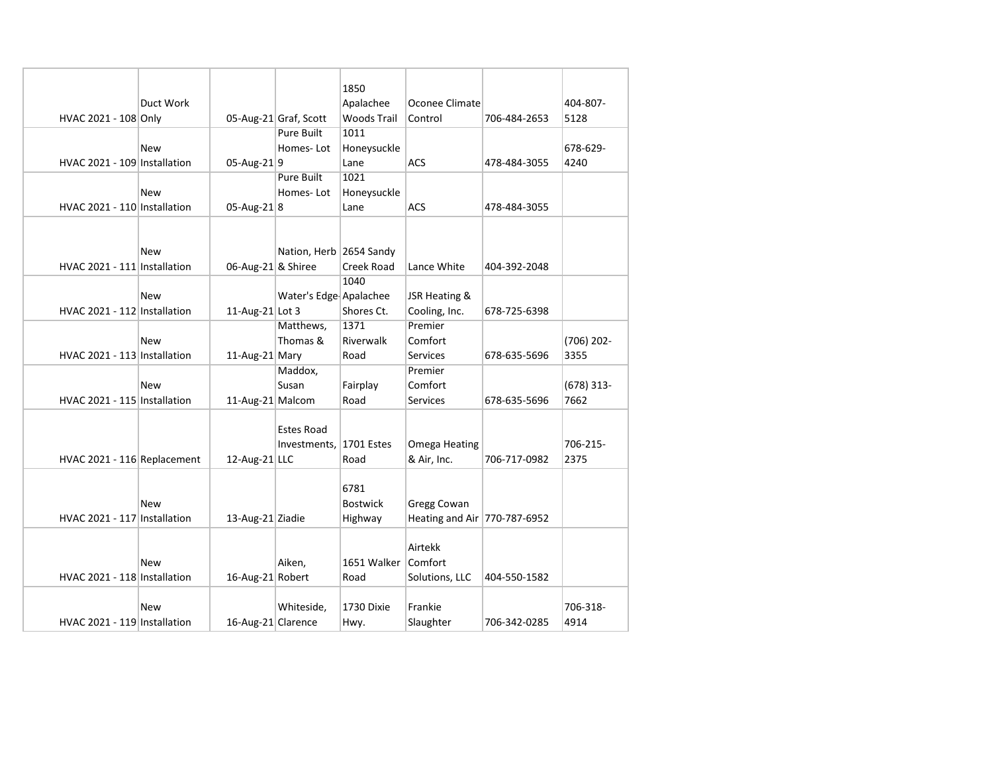|                              |            |                    |                         | 1850               |                              |              |                      |
|------------------------------|------------|--------------------|-------------------------|--------------------|------------------------------|--------------|----------------------|
|                              | Duct Work  |                    |                         | Apalachee          | Oconee Climate               |              | 404-807-             |
| HVAC 2021 - 108 Only         |            |                    | 05-Aug-21 Graf, Scott   | <b>Woods Trail</b> | Control                      | 706-484-2653 | 5128                 |
|                              |            |                    | Pure Built              | 1011               |                              |              |                      |
|                              | New        |                    | Homes-Lot               | Honeysuckle        |                              |              | 678-629-             |
|                              |            |                    |                         |                    |                              |              |                      |
| HVAC 2021 - 109 Installation |            | 05-Aug-219         |                         | Lane               | <b>ACS</b>                   | 478-484-3055 | 4240                 |
|                              |            |                    | <b>Pure Built</b>       | 1021               |                              |              |                      |
|                              | New        |                    | Homes-Lot               | Honeysuckle        |                              |              |                      |
| HVAC 2021 - 110 Installation |            | 05-Aug-21 $ 8$     |                         | Lane               | <b>ACS</b>                   | 478-484-3055 |                      |
|                              | <b>New</b> |                    | Nation, Herb 2654 Sandy |                    |                              |              |                      |
| HVAC 2021 - 111 Installation |            | 06-Aug-21 & Shiree |                         | <b>Creek Road</b>  | Lance White                  | 404-392-2048 |                      |
|                              |            |                    |                         | 1040               |                              |              |                      |
|                              | <b>New</b> |                    | Water's Edge Apalachee  |                    | JSR Heating &                |              |                      |
| HVAC 2021 - 112 Installation |            | 11-Aug-21 Lot 3    |                         | Shores Ct.         | Cooling, Inc.                | 678-725-6398 |                      |
|                              |            |                    | Matthews,               | 1371               | Premier                      |              |                      |
|                              | New        |                    | Thomas &                | Riverwalk          | Comfort                      |              |                      |
| HVAC 2021 - 113 Installation |            |                    |                         |                    | <b>Services</b>              | 678-635-5696 | $(706)$ 202-<br>3355 |
|                              |            | 11-Aug-21 Mary     | Maddox,                 | Road               | Premier                      |              |                      |
|                              |            |                    |                         |                    |                              |              |                      |
|                              | <b>New</b> |                    | Susan                   | Fairplay           | Comfort                      |              | $(678)$ 313-         |
| HVAC 2021 - 115 Installation |            | 11-Aug-21 Malcom   |                         | Road               | <b>Services</b>              | 678-635-5696 | 7662                 |
|                              |            |                    | <b>Estes Road</b>       |                    |                              |              |                      |
|                              |            |                    | Investments,            | 1701 Estes         | Omega Heating                |              | 706-215-             |
| HVAC 2021 - 116 Replacement  |            | 12-Aug-21 $ LLC$   |                         | Road               | & Air, Inc.                  | 706-717-0982 | 2375                 |
|                              |            |                    |                         |                    |                              |              |                      |
|                              |            |                    |                         | 6781               |                              |              |                      |
|                              | <b>New</b> |                    |                         | <b>Bostwick</b>    | <b>Gregg Cowan</b>           |              |                      |
| HVAC 2021 - 117 Installation |            | 13-Aug-21 Ziadie   |                         | Highway            | Heating and Air 770-787-6952 |              |                      |
|                              |            |                    |                         |                    |                              |              |                      |
|                              |            |                    |                         |                    | Airtekk                      |              |                      |
|                              | <b>New</b> |                    | Aiken,                  | 1651 Walker        | Comfort                      |              |                      |
| HVAC 2021 - 118 Installation |            | 16-Aug-21 Robert   |                         | Road               | Solutions, LLC               | 404-550-1582 |                      |
|                              |            |                    | Whiteside,              | 1730 Dixie         | Frankie                      |              | 706-318-             |
|                              | New        |                    |                         |                    |                              |              |                      |
| HVAC 2021 - 119 Installation |            | 16-Aug-21 Clarence |                         | Hwy.               | Slaughter                    | 706-342-0285 | 4914                 |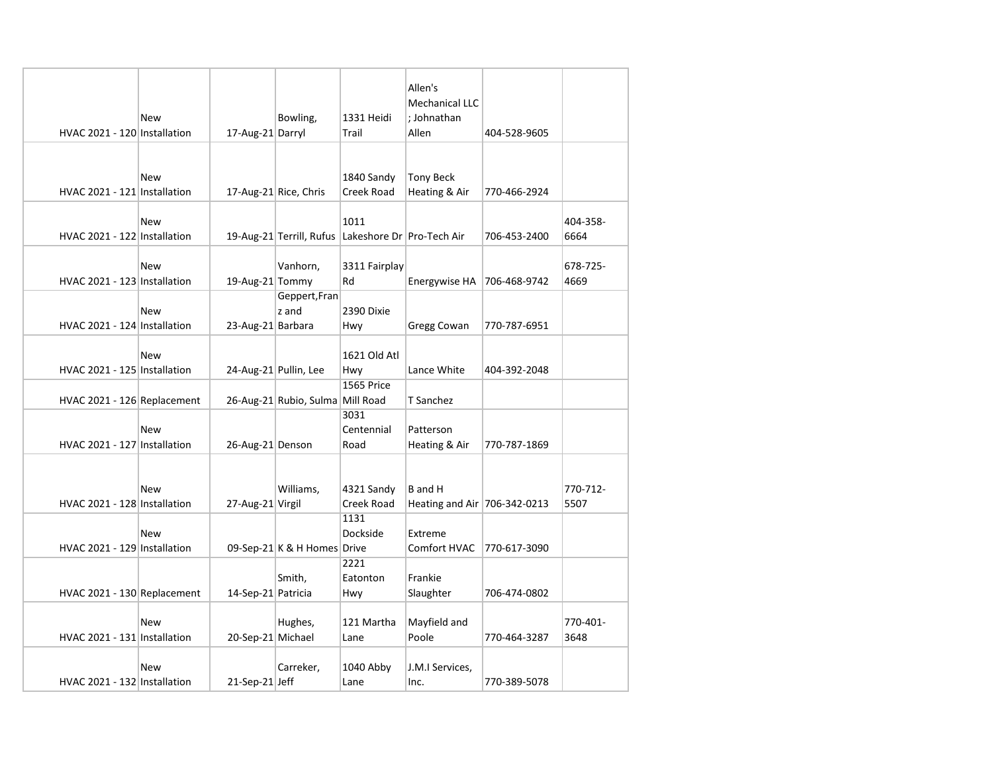| HVAC 2021 - 120 Installation | New | 17-Aug-21 Darryl   | Bowling,                         | 1331 Heidi<br>Trail       | Allen's<br><b>Mechanical LLC</b><br>; Johnathan<br>Allen | 404-528-9605 |          |
|------------------------------|-----|--------------------|----------------------------------|---------------------------|----------------------------------------------------------|--------------|----------|
|                              |     |                    |                                  |                           |                                                          |              |          |
|                              |     |                    |                                  |                           |                                                          |              |          |
|                              | New |                    |                                  | 1840 Sandy                | <b>Tony Beck</b>                                         |              |          |
| HVAC 2021 - 121 Installation |     |                    | 17-Aug-21 Rice, Chris            | Creek Road                | Heating & Air                                            | 770-466-2924 |          |
|                              |     |                    |                                  |                           |                                                          |              |          |
|                              | New |                    |                                  | 1011                      |                                                          |              | 404-358- |
| HVAC 2021 - 122 Installation |     |                    | 19-Aug-21 Terrill, Rufus         | Lakeshore Dr Pro-Tech Air |                                                          | 706-453-2400 | 6664     |
|                              |     |                    |                                  |                           |                                                          |              |          |
|                              | New |                    | Vanhorn,                         | 3311 Fairplay             |                                                          |              | 678-725- |
| HVAC 2021 - 123 Installation |     | 19-Aug-21 Tommy    |                                  | Rd                        | Energywise HA                                            | 706-468-9742 | 4669     |
|                              |     |                    | Geppert, Fran                    |                           |                                                          |              |          |
|                              | New |                    | z and                            | 2390 Dixie                |                                                          |              |          |
| HVAC 2021 - 124 Installation |     | 23-Aug-21 Barbara  |                                  | Hwy                       | Gregg Cowan                                              | 770-787-6951 |          |
|                              |     |                    |                                  |                           |                                                          |              |          |
|                              | New |                    |                                  | 1621 Old Atl              |                                                          |              |          |
| HVAC 2021 - 125 Installation |     |                    | 24-Aug-21 Pullin, Lee            | Hwy                       | Lance White                                              | 404-392-2048 |          |
|                              |     |                    |                                  | 1565 Price                |                                                          |              |          |
| HVAC 2021 - 126 Replacement  |     |                    | 26-Aug-21 Rubio, Sulma Mill Road |                           | T Sanchez                                                |              |          |
|                              |     |                    |                                  | 3031                      |                                                          |              |          |
|                              | New |                    |                                  | Centennial                | Patterson                                                |              |          |
| HVAC 2021 - 127 Installation |     | 26-Aug-21 Denson   |                                  | Road                      | Heating & Air                                            | 770-787-1869 |          |
|                              |     |                    |                                  |                           |                                                          |              |          |
|                              |     |                    |                                  |                           |                                                          |              |          |
|                              | New |                    | Williams,                        | 4321 Sandy                | B and H                                                  |              | 770-712- |
| HVAC 2021 - 128 Installation |     | 27-Aug-21 Virgil   |                                  | Creek Road                | Heating and Air 706-342-0213                             |              | 5507     |
|                              |     |                    |                                  | 1131                      |                                                          |              |          |
|                              | New |                    |                                  | Dockside                  | Extreme                                                  |              |          |
| HVAC 2021 - 129 Installation |     |                    | 09-Sep-21 K & H Homes Drive      |                           | Comfort HVAC                                             | 770-617-3090 |          |
|                              |     |                    |                                  | 2221                      |                                                          |              |          |
|                              |     |                    | Smith,                           | Eatonton                  | Frankie                                                  |              |          |
| HVAC 2021 - 130 Replacement  |     | 14-Sep-21 Patricia |                                  | Hwy                       | Slaughter                                                | 706-474-0802 |          |
|                              |     |                    |                                  |                           |                                                          |              |          |
|                              | New |                    | Hughes,                          | 121 Martha                | Mayfield and                                             |              | 770-401- |
| HVAC 2021 - 131 Installation |     | 20-Sep-21 Michael  |                                  | Lane                      | Poole                                                    | 770-464-3287 | 3648     |
|                              |     |                    |                                  |                           |                                                          |              |          |
|                              | New |                    | Carreker,                        | 1040 Abby                 | J.M.I Services,                                          |              |          |
| HVAC 2021 - 132 Installation |     | 21-Sep-21 Jeff     |                                  | Lane                      | Inc.                                                     | 770-389-5078 |          |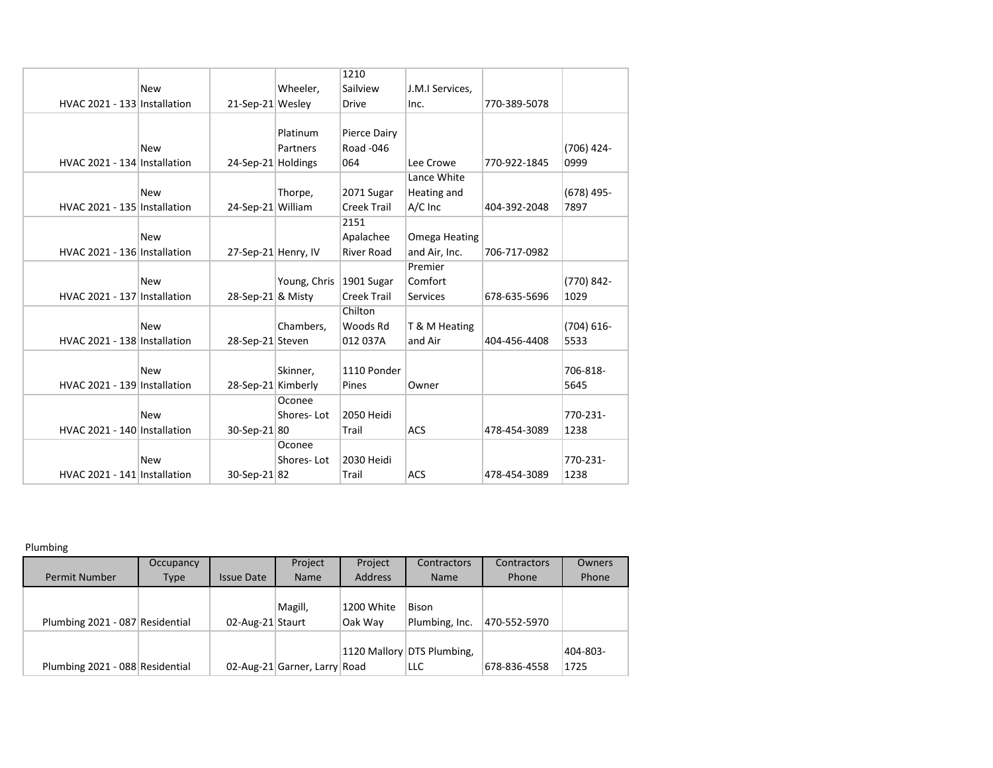|                              |            |                     |              | 1210               |                 |              |               |
|------------------------------|------------|---------------------|--------------|--------------------|-----------------|--------------|---------------|
|                              | <b>New</b> |                     | Wheeler,     | Sailview           | J.M.I Services, |              |               |
| HVAC 2021 - 133 Installation |            | 21-Sep-21 Wesley    |              | <b>Drive</b>       | Inc.            | 770-389-5078 |               |
|                              |            |                     |              |                    |                 |              |               |
|                              |            |                     | Platinum     | Pierce Dairy       |                 |              |               |
|                              | <b>New</b> |                     | Partners     | Road -046          |                 |              | $(706)$ 424-  |
| HVAC 2021 - 134 Installation |            | 24-Sep-21 Holdings  |              | 064                | Lee Crowe       | 770-922-1845 | 0999          |
|                              |            |                     |              |                    | Lance White     |              |               |
|                              | <b>New</b> |                     | Thorpe,      | 2071 Sugar         | Heating and     |              | $(678)$ 495-  |
| HVAC 2021 - 135 Installation |            | 24-Sep-21 William   |              | <b>Creek Trail</b> | A/C Inc         | 404-392-2048 | 7897          |
|                              |            |                     |              | 2151               |                 |              |               |
|                              | <b>New</b> |                     |              | Apalachee          | Omega Heating   |              |               |
| HVAC 2021 - 136 Installation |            | 27-Sep-21 Henry, IV |              | <b>River Road</b>  | and Air, Inc.   | 706-717-0982 |               |
|                              |            |                     |              |                    | Premier         |              |               |
|                              | <b>New</b> |                     | Young, Chris | 1901 Sugar         | Comfort         |              | (770) 842-    |
| HVAC 2021 - 137 Installation |            | 28-Sep-21 & Misty   |              | Creek Trail        | Services        | 678-635-5696 | 1029          |
|                              |            |                     |              | Chilton            |                 |              |               |
|                              | <b>New</b> |                     | Chambers,    | Woods Rd           | T & M Heating   |              | $(704) 616 -$ |
| HVAC 2021 - 138 Installation |            | 28-Sep-21 Steven    |              | 012 037A           | and Air         | 404-456-4408 | 5533          |
|                              |            |                     |              |                    |                 |              |               |
|                              | <b>New</b> |                     | Skinner,     | 1110 Ponder        |                 |              | 706-818-      |
| HVAC 2021 - 139 Installation |            | 28-Sep-21 Kimberly  |              | Pines              | Owner           |              | 5645          |
|                              |            |                     | Oconee       |                    |                 |              |               |
|                              | <b>New</b> |                     | Shores-Lot   | 2050 Heidi         |                 |              | 770-231-      |
| HVAC 2021 - 140 Installation |            | 30-Sep-21 80        |              | Trail              | <b>ACS</b>      | 478-454-3089 | 1238          |
|                              |            |                     | Oconee       |                    |                 |              |               |
|                              | <b>New</b> |                     | Shores-Lot   | 2030 Heidi         |                 |              | 770-231-      |
| HVAC 2021 - 141 Installation |            | 30-Sep-21 82        |              | Trail              | <b>ACS</b>      | 478-454-3089 | 1238          |

Plumbing

|                                 | Occupancy   |                   | Project                      | Project               | Contractors                              | Contractors  | Owners           |
|---------------------------------|-------------|-------------------|------------------------------|-----------------------|------------------------------------------|--------------|------------------|
| <b>Permit Number</b>            | <b>Type</b> | <b>Issue Date</b> | Name                         | <b>Address</b>        | <b>Name</b>                              | Phone        | Phone            |
| Plumbing 2021 - 087 Residential |             | 02-Aug-21 Staurt  | Magill,                      | 1200 White<br>Oak Way | Bison<br>Plumbing, Inc.                  | 470-552-5970 |                  |
| Plumbing 2021 - 088 Residential |             |                   | 02-Aug-21 Garner, Larry Road |                       | 1120 Mallory DTS Plumbing,<br><b>LLC</b> | 678-836-4558 | 404-803-<br>1725 |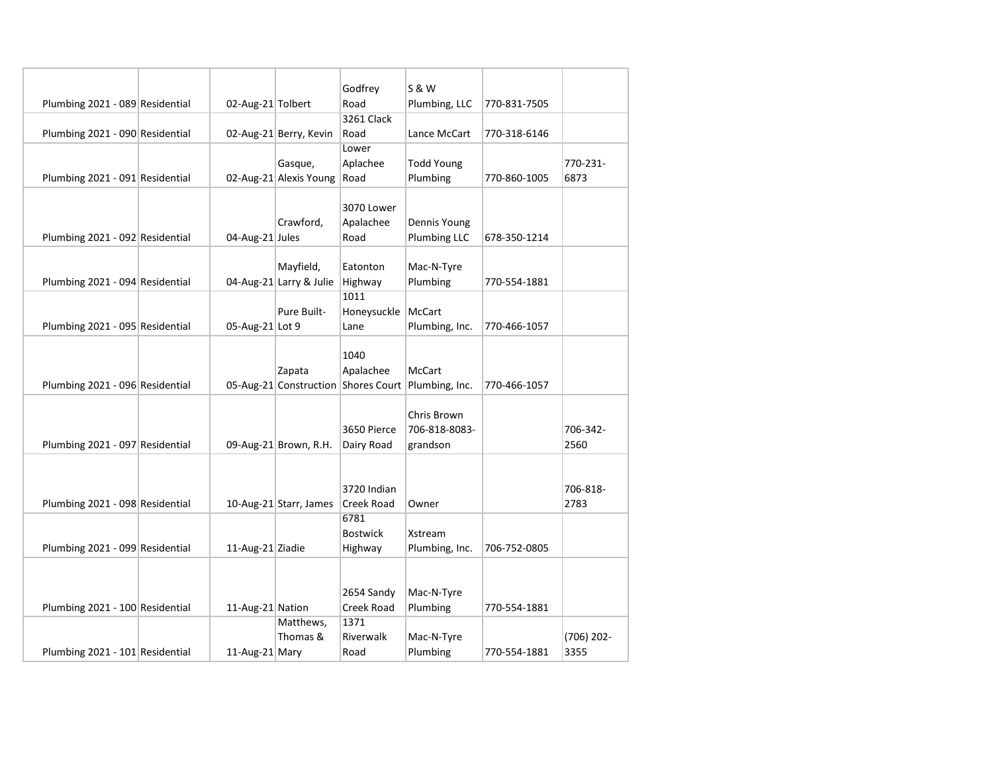|                                 |                   |                         | Godfrey                             | <b>S &amp; W</b>  |              |              |
|---------------------------------|-------------------|-------------------------|-------------------------------------|-------------------|--------------|--------------|
| Plumbing 2021 - 089 Residential | 02-Aug-21 Tolbert |                         | Road                                | Plumbing, LLC     | 770-831-7505 |              |
|                                 |                   |                         | 3261 Clack                          |                   |              |              |
| Plumbing 2021 - 090 Residential |                   | 02-Aug-21 Berry, Kevin  | Road                                | Lance McCart      | 770-318-6146 |              |
|                                 |                   |                         | Lower                               |                   |              |              |
|                                 |                   | Gasque,                 | Aplachee                            | <b>Todd Young</b> |              | 770-231-     |
| Plumbing 2021 - 091 Residential |                   | 02-Aug-21 Alexis Young  | Road                                | Plumbing          | 770-860-1005 | 6873         |
|                                 |                   |                         |                                     |                   |              |              |
|                                 |                   |                         | 3070 Lower                          |                   |              |              |
|                                 |                   | Crawford,               | Apalachee                           | Dennis Young      |              |              |
| Plumbing 2021 - 092 Residential | 04-Aug-21 Jules   |                         | Road                                | Plumbing LLC      | 678-350-1214 |              |
|                                 |                   |                         |                                     |                   |              |              |
|                                 |                   | Mayfield,               | Eatonton                            | Mac-N-Tyre        |              |              |
| Plumbing 2021 - 094 Residential |                   | 04-Aug-21 Larry & Julie | Highway                             | Plumbing          | 770-554-1881 |              |
|                                 |                   | Pure Built-             | 1011                                | <b>McCart</b>     |              |              |
|                                 | 05-Aug-21 Lot 9   |                         | Honeysuckle                         | Plumbing, Inc.    | 770-466-1057 |              |
| Plumbing 2021 - 095 Residential |                   |                         | Lane                                |                   |              |              |
|                                 |                   |                         | 1040                                |                   |              |              |
|                                 |                   | Zapata                  | Apalachee                           | <b>McCart</b>     |              |              |
| Plumbing 2021 - 096 Residential |                   |                         | 05-Aug-21 Construction Shores Court | Plumbing, Inc.    | 770-466-1057 |              |
|                                 |                   |                         |                                     |                   |              |              |
|                                 |                   |                         |                                     | Chris Brown       |              |              |
|                                 |                   |                         | 3650 Pierce                         | 706-818-8083-     |              | 706-342-     |
| Plumbing 2021 - 097 Residential |                   | 09-Aug-21 Brown, R.H.   | Dairy Road                          | grandson          |              | 2560         |
|                                 |                   |                         |                                     |                   |              |              |
|                                 |                   |                         |                                     |                   |              |              |
|                                 |                   |                         | 3720 Indian                         |                   |              | 706-818-     |
| Plumbing 2021 - 098 Residential |                   | 10-Aug-21 Starr, James  | Creek Road                          | Owner             |              | 2783         |
|                                 |                   |                         | 6781                                |                   |              |              |
|                                 |                   |                         | <b>Bostwick</b>                     | Xstream           |              |              |
| Plumbing 2021 - 099 Residential | 11-Aug-21 Ziadie  |                         | Highway                             | Plumbing, Inc.    | 706-752-0805 |              |
|                                 |                   |                         |                                     |                   |              |              |
|                                 |                   |                         | 2654 Sandy                          | Mac-N-Tyre        |              |              |
| Plumbing 2021 - 100 Residential | 11-Aug-21 Nation  |                         | Creek Road                          | Plumbing          | 770-554-1881 |              |
|                                 |                   | Matthews,               | 1371                                |                   |              |              |
|                                 |                   | Thomas &                | Riverwalk                           | Mac-N-Tyre        |              | $(706)$ 202- |
| Plumbing 2021 - 101 Residential | 11-Aug-21 Mary    |                         | Road                                | Plumbing          | 770-554-1881 | 3355         |
|                                 |                   |                         |                                     |                   |              |              |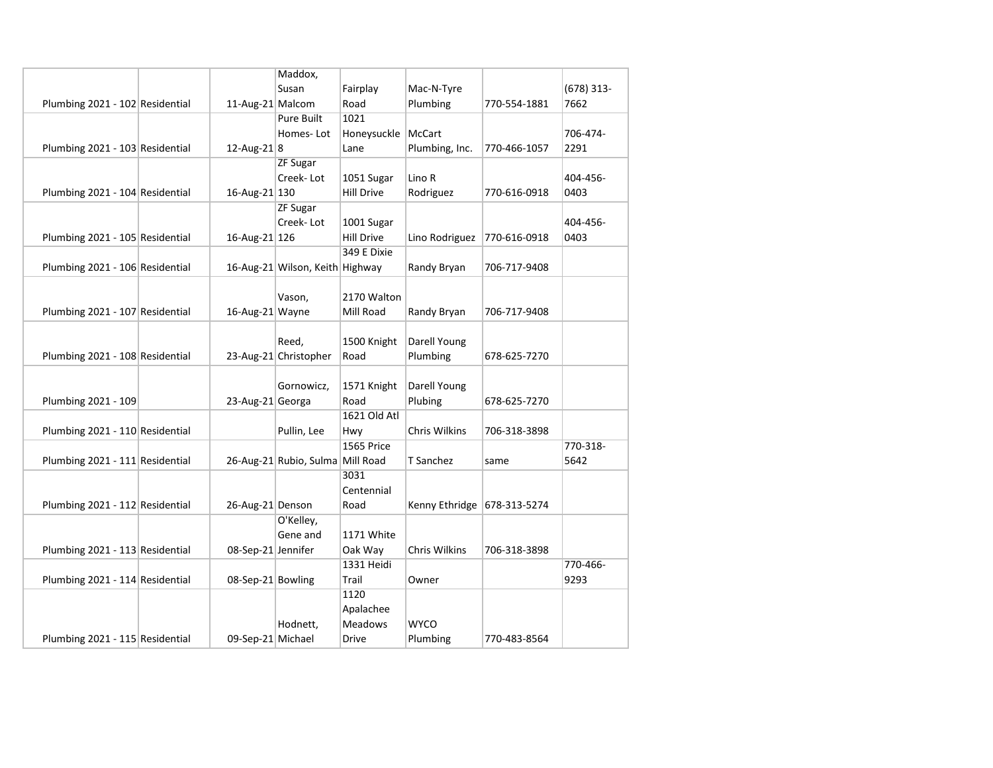|                                 |                    | Maddox,                          |                   |                |              |              |
|---------------------------------|--------------------|----------------------------------|-------------------|----------------|--------------|--------------|
|                                 |                    | Susan                            | Fairplay          | Mac-N-Tyre     |              | $(678)$ 313- |
| Plumbing 2021 - 102 Residential | 11-Aug-21 Malcom   |                                  | Road              | Plumbing       | 770-554-1881 | 7662         |
|                                 |                    | <b>Pure Built</b>                | 1021              |                |              |              |
|                                 |                    | Homes-Lot                        | Honeysuckle       | McCart         |              | 706-474-     |
| Plumbing 2021 - 103 Residential | 12-Aug-21 $ 8$     |                                  | Lane              | Plumbing, Inc. | 770-466-1057 | 2291         |
|                                 |                    | <b>ZF Sugar</b>                  |                   |                |              |              |
|                                 |                    | Creek-Lot                        | 1051 Sugar        | Lino R         |              | 404-456-     |
| Plumbing 2021 - 104 Residential | 16-Aug-21 130      |                                  | <b>Hill Drive</b> | Rodriguez      | 770-616-0918 | 0403         |
|                                 |                    | <b>ZF Sugar</b>                  |                   |                |              |              |
|                                 |                    | Creek-Lot                        | 1001 Sugar        |                |              | 404-456-     |
| Plumbing 2021 - 105 Residential | 16-Aug-21 126      |                                  | <b>Hill Drive</b> | Lino Rodriguez | 770-616-0918 | 0403         |
|                                 |                    |                                  | 349 E Dixie       |                |              |              |
| Plumbing 2021 - 106 Residential |                    | 16-Aug-21 Wilson, Keith Highway  |                   | Randy Bryan    | 706-717-9408 |              |
|                                 |                    |                                  |                   |                |              |              |
|                                 |                    | Vason,                           | 2170 Walton       |                |              |              |
| Plumbing 2021 - 107 Residential | 16-Aug-21 Wayne    |                                  | Mill Road         | Randy Bryan    | 706-717-9408 |              |
|                                 |                    |                                  |                   |                |              |              |
|                                 |                    | Reed,                            | 1500 Knight       | Darell Young   |              |              |
| Plumbing 2021 - 108 Residential |                    | 23-Aug-21 Christopher            | Road              | Plumbing       | 678-625-7270 |              |
|                                 |                    |                                  |                   |                |              |              |
|                                 |                    | Gornowicz,                       | 1571 Knight       | Darell Young   |              |              |
| Plumbing 2021 - 109             | 23-Aug-21 Georga   |                                  | Road              | Plubing        | 678-625-7270 |              |
|                                 |                    |                                  | 1621 Old Atl      |                |              |              |
| Plumbing 2021 - 110 Residential |                    | Pullin, Lee                      | Hwy               | Chris Wilkins  | 706-318-3898 |              |
|                                 |                    |                                  | 1565 Price        |                |              | 770-318-     |
| Plumbing 2021 - 111 Residential |                    | 26-Aug-21 Rubio, Sulma Mill Road |                   | T Sanchez      | same         | 5642         |
|                                 |                    |                                  | 3031              |                |              |              |
|                                 |                    |                                  | Centennial        |                |              |              |
| Plumbing 2021 - 112 Residential | 26-Aug-21 Denson   |                                  | Road              | Kenny Ethridge | 678-313-5274 |              |
|                                 |                    | O'Kelley,                        |                   |                |              |              |
|                                 |                    | Gene and                         | 1171 White        |                |              |              |
| Plumbing 2021 - 113 Residential | 08-Sep-21 Jennifer |                                  | Oak Way           | Chris Wilkins  | 706-318-3898 |              |
|                                 |                    |                                  | 1331 Heidi        |                |              | 770-466-     |
| Plumbing 2021 - 114 Residential | 08-Sep-21 Bowling  |                                  | Trail             | Owner          |              | 9293         |
|                                 |                    |                                  | 1120              |                |              |              |
|                                 |                    |                                  | Apalachee         |                |              |              |
|                                 |                    | Hodnett,                         | <b>Meadows</b>    | <b>WYCO</b>    |              |              |
| Plumbing 2021 - 115 Residential | 09-Sep-21 Michael  |                                  | Drive             | Plumbing       | 770-483-8564 |              |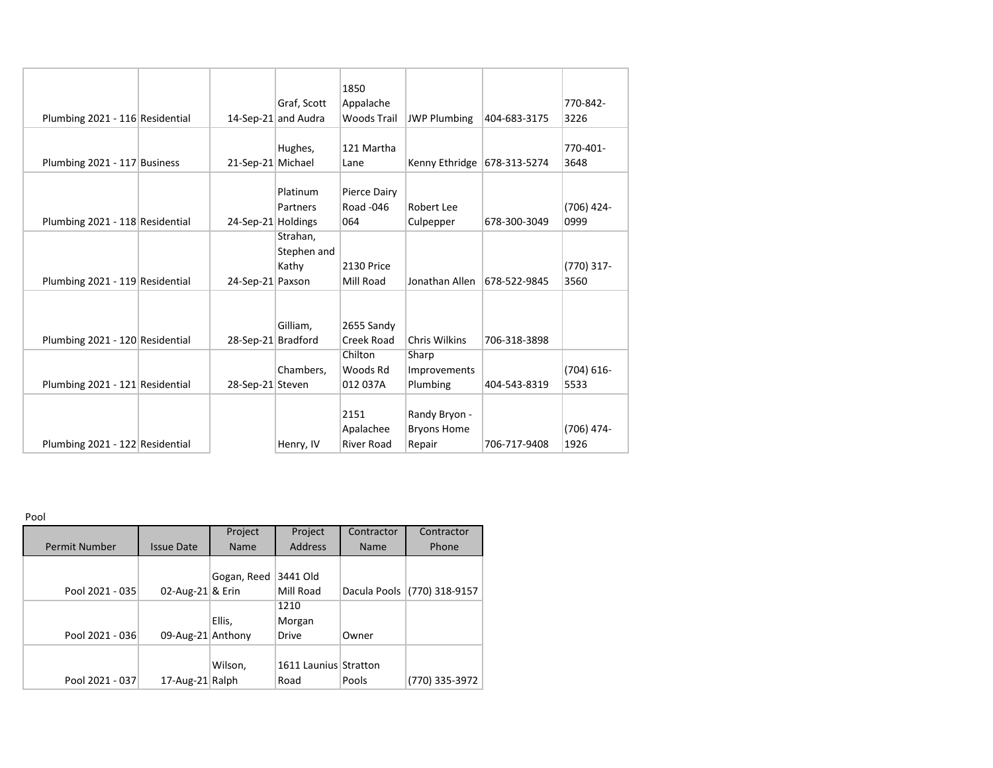|                                 |                    |                     | 1850               |                      |              |               |
|---------------------------------|--------------------|---------------------|--------------------|----------------------|--------------|---------------|
|                                 |                    | Graf, Scott         | Appalache          |                      |              | 770-842-      |
| Plumbing 2021 - 116 Residential |                    | 14-Sep-21 and Audra | <b>Woods Trail</b> | <b>JWP Plumbing</b>  | 404-683-3175 | 3226          |
|                                 |                    |                     |                    |                      |              |               |
|                                 |                    | Hughes,             | 121 Martha         |                      |              | 770-401-      |
| Plumbing 2021 - 117 Business    | 21-Sep-21 Michael  |                     | Lane               | Kenny Ethridge       | 678-313-5274 | 3648          |
|                                 |                    |                     |                    |                      |              |               |
|                                 |                    | Platinum            | Pierce Dairy       |                      |              |               |
|                                 |                    | Partners            | Road -046          | Robert Lee           |              | (706) 424-    |
| Plumbing 2021 - 118 Residential | 24-Sep-21 Holdings |                     | 064                | Culpepper            | 678-300-3049 | 0999          |
|                                 |                    | Strahan,            |                    |                      |              |               |
|                                 |                    | Stephen and         |                    |                      |              |               |
|                                 |                    | Kathy               | 2130 Price         |                      |              | $(770)$ 317-  |
| Plumbing 2021 - 119 Residential | 24-Sep-21 Paxson   |                     | Mill Road          | Jonathan Allen       | 678-522-9845 | 3560          |
|                                 |                    |                     |                    |                      |              |               |
|                                 |                    |                     |                    |                      |              |               |
|                                 |                    | Gilliam,            | 2655 Sandy         |                      |              |               |
| Plumbing 2021 - 120 Residential | 28-Sep-21 Bradford |                     | Creek Road         | <b>Chris Wilkins</b> | 706-318-3898 |               |
|                                 |                    |                     | Chilton            | Sharp                |              |               |
|                                 |                    | Chambers,           | Woods Rd           | <b>Improvements</b>  |              | $(704) 616 -$ |
| Plumbing 2021 - 121 Residential | 28-Sep-21 Steven   |                     | 012 037A           | Plumbing             | 404-543-8319 | 5533          |
|                                 |                    |                     |                    |                      |              |               |
|                                 |                    |                     | 2151               | Randy Bryon -        |              |               |
|                                 |                    |                     | Apalachee          | <b>Bryons Home</b>   |              | (706) 474-    |
| Plumbing 2021 - 122 Residential |                    | Henry, IV           | <b>River Road</b>  | Repair               | 706-717-9408 | 1926          |

Pool

|                      |                   | Project     | Project               | Contractor  | Contractor                  |
|----------------------|-------------------|-------------|-----------------------|-------------|-----------------------------|
| <b>Permit Number</b> | <b>Issue Date</b> | <b>Name</b> | <b>Address</b>        | <b>Name</b> | Phone                       |
|                      |                   |             |                       |             |                             |
|                      |                   | Gogan, Reed | 3441 Old              |             |                             |
| Pool 2021 - 035      | 02-Aug-21 & Erin  |             | Mill Road             |             | Dacula Pools (770) 318-9157 |
|                      |                   |             | 1210                  |             |                             |
|                      |                   | Ellis,      | Morgan                |             |                             |
| Pool 2021 - 036      | 09-Aug-21 Anthony |             | <b>Drive</b>          | Owner       |                             |
|                      |                   |             |                       |             |                             |
|                      |                   | Wilson,     | 1611 Launius Stratton |             |                             |
| Pool 2021 - 037      | 17-Aug-21 Ralph   |             | Road                  | Pools       | (770) 335-3972              |